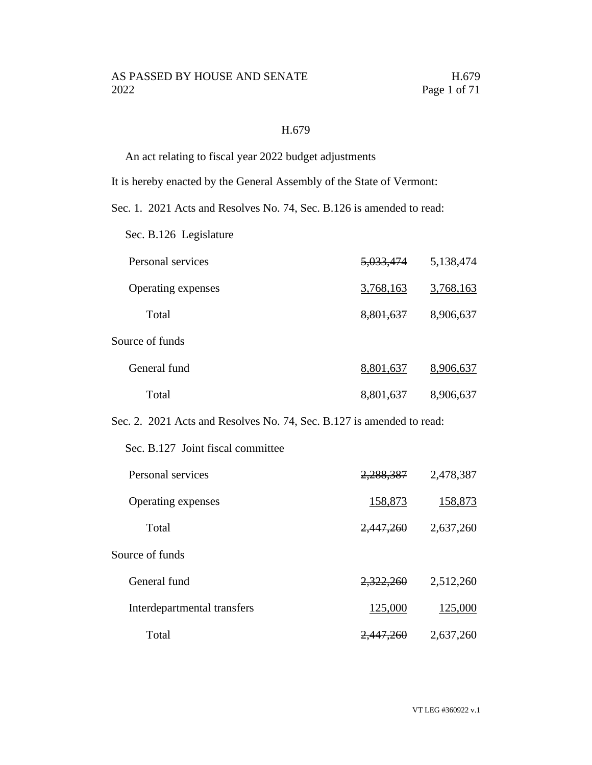#### H.679

An act relating to fiscal year 2022 budget adjustments

It is hereby enacted by the General Assembly of the State of Vermont:

Sec. 1. 2021 Acts and Resolves No. 74, Sec. B.126 is amended to read:

Sec. B.126 Legislature

| Personal services  | <del>5,033,474</del> | 5,138,474 |
|--------------------|----------------------|-----------|
| Operating expenses | 3,768,163            | 3,768,163 |
| Total              | 8,801,637            | 8,906,637 |
| Source of funds    |                      |           |
| General fund       | <del>8,801,637</del> | 8,906,637 |
| Total              | <del>8,801,637</del> | 8,906,637 |

Sec. 2. 2021 Acts and Resolves No. 74, Sec. B.127 is amended to read:

Sec. B.127 Joint fiscal committee

| Personal services           | 2,288,387            | 2,478,387 |
|-----------------------------|----------------------|-----------|
| Operating expenses          | 158,873              | 158,873   |
| Total                       | 2,447,260            | 2,637,260 |
| Source of funds             |                      |           |
| General fund                | 2,322,260            | 2,512,260 |
| Interdepartmental transfers | 125,000              | 125,000   |
| Total                       | <del>2,447,260</del> | 2,637,260 |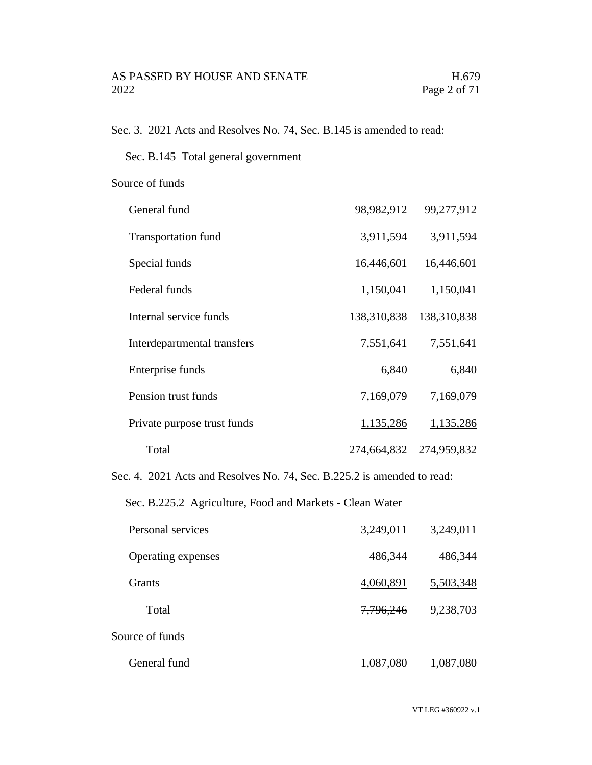Sec. 3. 2021 Acts and Resolves No. 74, Sec. B.145 is amended to read:

Sec. B.145 Total general government

Source of funds

| General fund                | 98,982,912             | 99,277,912  |
|-----------------------------|------------------------|-------------|
| <b>Transportation fund</b>  | 3,911,594              | 3,911,594   |
| Special funds               | 16,446,601             | 16,446,601  |
| Federal funds               | 1,150,041              | 1,150,041   |
| Internal service funds      | 138,310,838            | 138,310,838 |
| Interdepartmental transfers | 7,551,641              | 7,551,641   |
| Enterprise funds            | 6,840                  | 6,840       |
| Pension trust funds         | 7,169,079              | 7,169,079   |
| Private purpose trust funds | 1,135,286              | 1,135,286   |
| Total                       | <del>274,664,832</del> | 274,959,832 |

Sec. 4. 2021 Acts and Resolves No. 74, Sec. B.225.2 is amended to read:

Sec. B.225.2 Agriculture, Food and Markets - Clean Water

| Personal services  | 3,249,011             | 3,249,011 |
|--------------------|-----------------------|-----------|
| Operating expenses | 486,344               | 486,344   |
| <b>Grants</b>      | 4 <del>,060,891</del> | 5,503,348 |
| Total              | 7,796,246             | 9,238,703 |
| Source of funds    |                       |           |
| General fund       | 1,087,080             | 1,087,080 |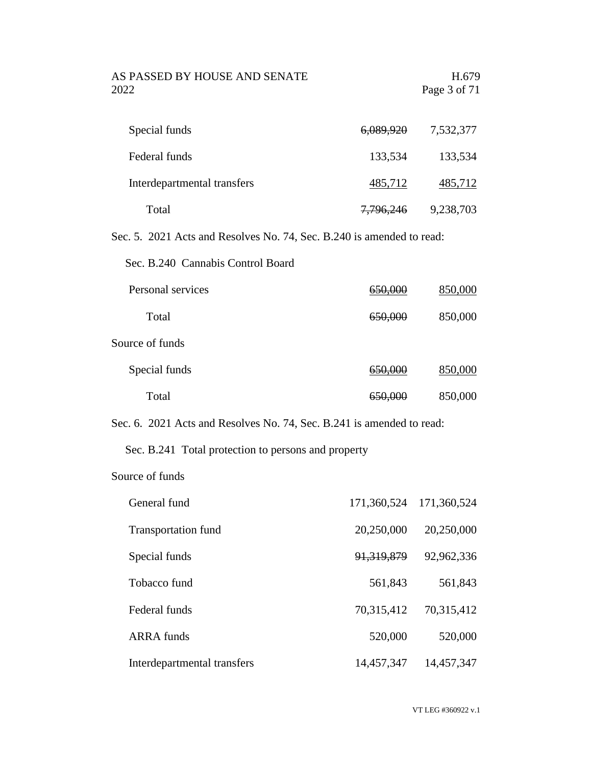AS PASSED BY HOUSE AND SENATE H.679 2022 Page 3 of 71

| Special funds               | <del>6,089,920</del> | 7,532,377 |
|-----------------------------|----------------------|-----------|
| Federal funds               | 133,534              | 133,534   |
| Interdepartmental transfers | 485,712              | 485,712   |
| Total                       | 7,796,246            | 9,238,703 |

Sec. 5. 2021 Acts and Resolves No. 74, Sec. B.240 is amended to read:

Sec. B.240 Cannabis Control Board

| Personal services |                    | 850,000 |
|-------------------|--------------------|---------|
| Total             | <del>650,000</del> | 850,000 |
| Source of funds   |                    |         |
| Special funds     | <del>650,000</del> | 850,000 |
| Total             |                    | 850,000 |

Sec. 6. 2021 Acts and Resolves No. 74, Sec. B.241 is amended to read:

#### Sec. B.241 Total protection to persons and property

#### Source of funds

| General fund                | 171,360,524 | 171,360,524 |
|-----------------------------|-------------|-------------|
| <b>Transportation fund</b>  | 20,250,000  | 20,250,000  |
| Special funds               | 91,319,879  | 92,962,336  |
| Tobacco fund                | 561,843     | 561,843     |
| Federal funds               | 70,315,412  | 70,315,412  |
| <b>ARRA</b> funds           | 520,000     | 520,000     |
| Interdepartmental transfers | 14,457,347  | 14,457,347  |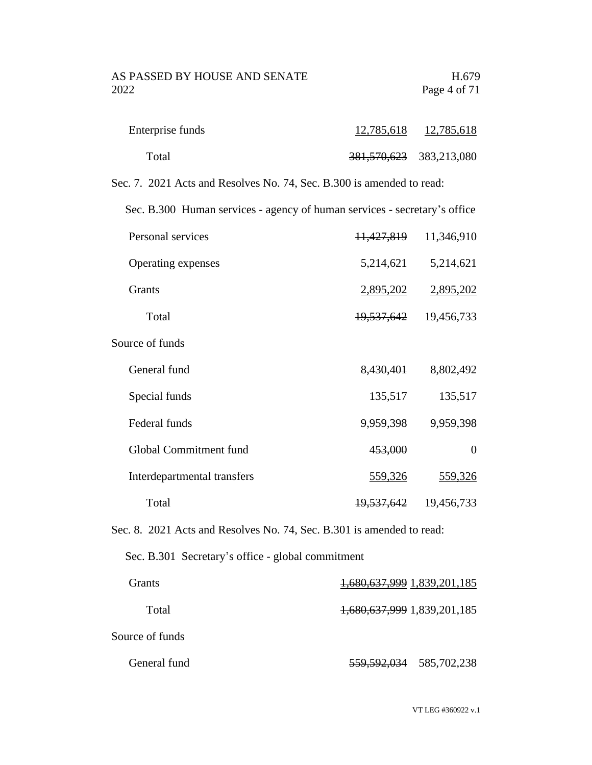| Enterprise funds | 12,785,618                  | 12,785,618 |
|------------------|-----------------------------|------------|
| Total            | 381, 570, 623 383, 213, 080 |            |

Sec. 7. 2021 Acts and Resolves No. 74, Sec. B.300 is amended to read:

Sec. B.300 Human services - agency of human services - secretary's office

| Personal services  |           | 11,427,819 11,346,910     |
|--------------------|-----------|---------------------------|
| Operating expenses | 5,214,621 | 5,214,621                 |
| Grants             | 2,895,202 | 2,895,202                 |
| Total              |           | 19, 537, 642 19, 456, 733 |
|                    |           |                           |

Source of funds

| General fund                | 8,430,401  | 8,802,492  |
|-----------------------------|------------|------------|
| Special funds               | 135,517    | 135,517    |
| Federal funds               | 9,959,398  | 9,959,398  |
| Global Commitment fund      | 453,000    |            |
| Interdepartmental transfers | 559,326    | 559,326    |
| Total                       | 19,537,642 | 19,456,733 |

Sec. 8. 2021 Acts and Resolves No. 74, Sec. B.301 is amended to read:

Sec. B.301 Secretary's office - global commitment

| Grants)         | 1,680,637,999 1,839,201,185 |
|-----------------|-----------------------------|
| Total           | 1,680,637,999 1,839,201,185 |
| Source of funds |                             |
| General fund    | 559, 592, 034 585, 702, 238 |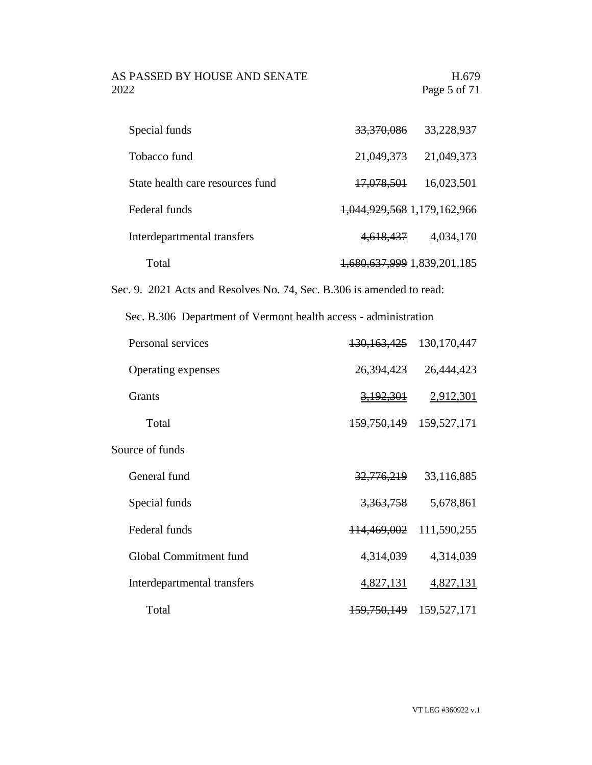# AS PASSED BY HOUSE AND SENATE H.679<br>2022 Page 5 of 71

| Special funds                    | 33,370,086                  | 33,228,937 |
|----------------------------------|-----------------------------|------------|
| Tobacco fund                     | 21,049,373                  | 21,049,373 |
| State health care resources fund | 17,078,501                  | 16,023,501 |
| Federal funds                    | 1,044,929,568 1,179,162,966 |            |
| Interdepartmental transfers      | 4,618,437                   | 4,034,170  |
| Total                            | 1,680,637,999 1,839,201,185 |            |

Sec. 9. 2021 Acts and Resolves No. 74, Sec. B.306 is amended to read:

Sec. B.306 Department of Vermont health access - administration

| Personal services           | 130, 163, 425          | 130,170,447 |
|-----------------------------|------------------------|-------------|
| Operating expenses          | 26,394,423             | 26,444,423  |
| <b>Grants</b>               | 3,192,301              | 2,912,301   |
| Total                       | <del>159,750,149</del> | 159,527,171 |
| Source of funds             |                        |             |
| General fund                | 32,776,219             | 33,116,885  |
| Special funds               | 3,363,758              | 5,678,861   |
| Federal funds               | 114,469,002            | 111,590,255 |
| Global Commitment fund      | 4,314,039              | 4,314,039   |
| Interdepartmental transfers | 4,827,131              | 4,827,131   |
| Total                       | <del>159,750,149</del> | 159,527,171 |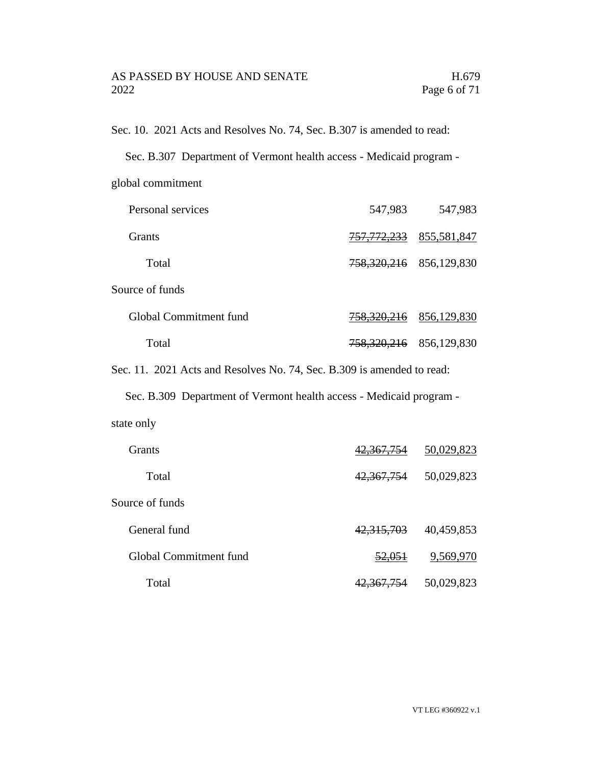Sec. 10. 2021 Acts and Resolves No. 74, Sec. B.307 is amended to read:

|  | Sec. B.307 Department of Vermont health access - Medicaid program - |  |
|--|---------------------------------------------------------------------|--|
|  |                                                                     |  |

global commitment

| Personal services      | 547,983                | 547,983     |
|------------------------|------------------------|-------------|
| Grants                 | <del>757,772,233</del> | 855,581,847 |
| Total                  | 758,320,216            | 856,129,830 |
| Source of funds        |                        |             |
| Global Commitment fund | 758,320,216            | 856,129,830 |
| Total                  | <del>758,320,216</del> | 856,129,830 |

Sec. 11. 2021 Acts and Resolves No. 74, Sec. B.309 is amended to read:

Sec. B.309 Department of Vermont health access - Medicaid program -

| state only |  |
|------------|--|
|            |  |

| <b>Grants</b>          | 42,367,754        | 50,029,823 |
|------------------------|-------------------|------------|
| Total                  | 42,367,754        | 50,029,823 |
| Source of funds        |                   |            |
| General fund           | 42,315,703        | 40,459,853 |
| Global Commitment fund | <del>52,051</del> | 9,569,970  |
| Total                  | 42,367,754        | 50,029,823 |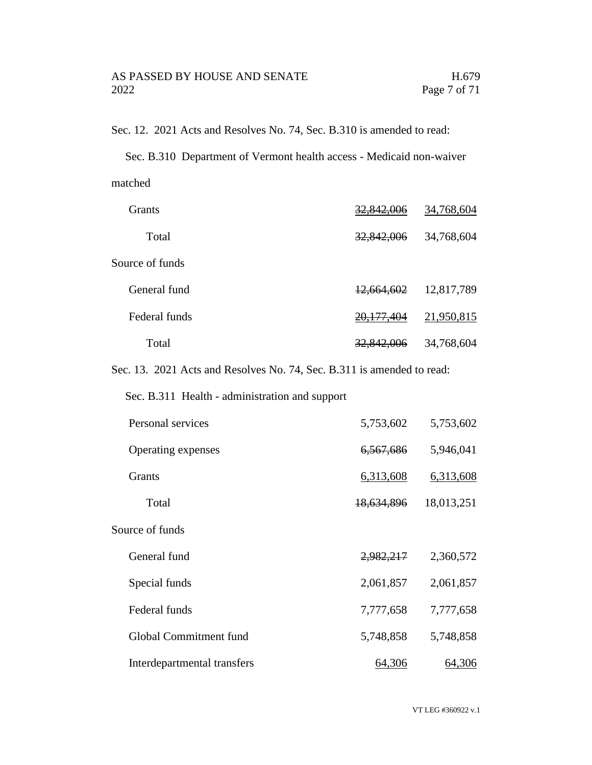Sec. 12. 2021 Acts and Resolves No. 74, Sec. B.310 is amended to read:

Sec. B.310 Department of Vermont health access - Medicaid non-waiver matched

| <b>Grants</b>   | <del>32,842,006</del> | 34,768,604 |
|-----------------|-----------------------|------------|
| Total           | 32,842,006            | 34,768,604 |
| Source of funds |                       |            |
| General fund    | 12,664,602            | 12,817,789 |
| Federal funds   | <del>20,177,404</del> | 21,950,815 |
| Total           | <del>32,842,006</del> | 34,768,604 |
|                 |                       |            |

Sec. 13. 2021 Acts and Resolves No. 74, Sec. B.311 is amended to read:

Sec. B.311 Health - administration and support

| Personal services           | 5,753,602  | 5,753,602  |
|-----------------------------|------------|------------|
| Operating expenses          | 6,567,686  | 5,946,041  |
| <b>Grants</b>               | 6,313,608  | 6,313,608  |
| Total                       | 18,634,896 | 18,013,251 |
| Source of funds             |            |            |
| General fund                | 2,982,217  | 2,360,572  |
| Special funds               | 2,061,857  | 2,061,857  |
| Federal funds               | 7,777,658  | 7,777,658  |
| Global Commitment fund      | 5,748,858  | 5,748,858  |
| Interdepartmental transfers | 64,306     | 64,306     |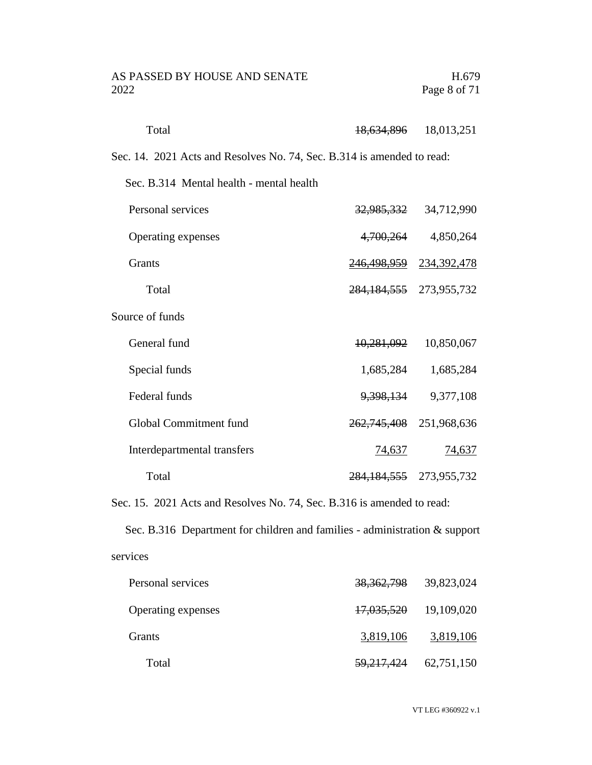| AS PASSED BY HOUSE AND SENATE | H.679        |
|-------------------------------|--------------|
| 2022                          | Page 8 of 71 |

| Total                                                                  | <del>18,634,896</del>       | 18,013,251                     |
|------------------------------------------------------------------------|-----------------------------|--------------------------------|
| Sec. 14. 2021 Acts and Resolves No. 74, Sec. B.314 is amended to read: |                             |                                |
| Sec. B.314 Mental health - mental health                               |                             |                                |
| Personal services                                                      |                             | 32,985,332 34,712,990          |
| Operating expenses                                                     | 4,700,264                   | 4,850,264                      |
| Grants                                                                 |                             | <u>246,498,959</u> 234,392,478 |
| Total                                                                  | 284, 184, 555 273, 955, 732 |                                |
| Source of funds                                                        |                             |                                |
| General fund                                                           | <del>10,281,092</del>       | 10,850,067                     |
| Special funds                                                          | 1,685,284                   | 1,685,284                      |
| Federal funds                                                          | <del>9,398,134</del>        | 9,377,108                      |
| Global Commitment fund                                                 | <del>262,745,408</del>      | 251,968,636                    |
| Interdepartmental transfers                                            | 74,637                      | 74,637                         |
| Total                                                                  | <del>284,184,555</del>      | 273,955,732                    |

Sec. 15. 2021 Acts and Resolves No. 74, Sec. B.316 is amended to read:

Sec. B.316 Department for children and families - administration & support services

| Personal services  | <del>38,362,798</del>     | 39,823,024 |
|--------------------|---------------------------|------------|
| Operating expenses | 17,035,520 19,109,020     |            |
| <b>Grants</b>      | 3,819,106                 | 3,819,106  |
| Total              | 59, 217, 424 62, 751, 150 |            |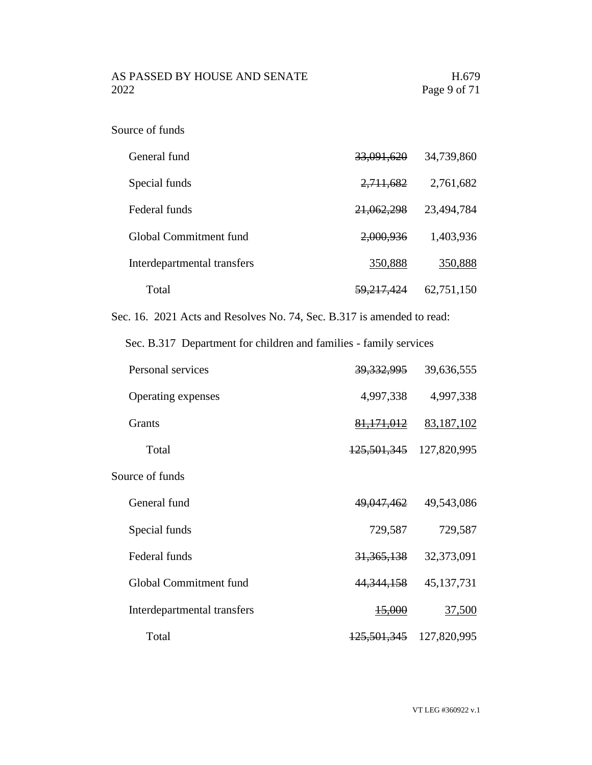| General fund                | 33,091,620            | 34,739,860 |
|-----------------------------|-----------------------|------------|
| Special funds               | 2,711,682             | 2,761,682  |
| Federal funds               | 21,062,298            | 23,494,784 |
| Global Commitment fund      | 2,000,936             | 1,403,936  |
| Interdepartmental transfers | 350,888               | 350,888    |
| Total                       | <del>59,217,424</del> | 62,751,150 |

Sec. 16. 2021 Acts and Resolves No. 74, Sec. B.317 is amended to read:

Sec. B.317 Department for children and families - family services

| Personal services           | <u>39,332,995</u>      | 39,636,555    |
|-----------------------------|------------------------|---------------|
| Operating expenses          | 4,997,338              | 4,997,338     |
| <b>Grants</b>               | 81, 171, 012           | 83,187,102    |
| Total                       | <del>125,501,345</del> | 127,820,995   |
| Source of funds             |                        |               |
| General fund                | <del>49,047,462</del>  | 49,543,086    |
| Special funds               | 729,587                | 729,587       |
| Federal funds               | 31, 365, 138           | 32,373,091    |
| Global Commitment fund      | 44, 344, 158           | 45, 137, 731  |
| Interdepartmental transfers | <del>15,000</del>      | <u>37,500</u> |
| Total                       | <del>125,501,345</del> | 127,820,995   |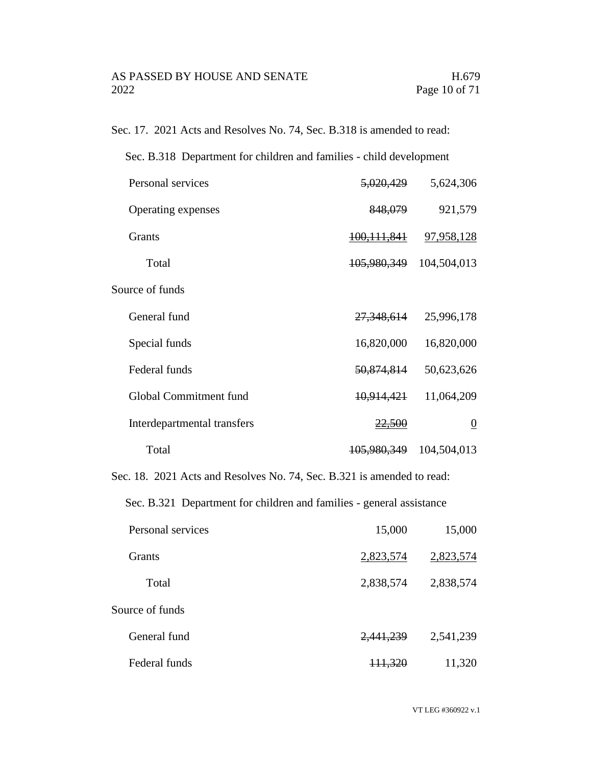Sec. 17. 2021 Acts and Resolves No. 74, Sec. B.318 is amended to read:

| Sec. B.318 Department for children and families - child development                     |                        |                |
|-----------------------------------------------------------------------------------------|------------------------|----------------|
| Personal services                                                                       | <del>5,020,429</del>   | 5,624,306      |
| Operating expenses                                                                      | 848,079                | 921,579        |
| Grants                                                                                  | <del>100,111,841</del> | 97,958,128     |
| Total                                                                                   | 105,980,349            | 104,504,013    |
| Source of funds                                                                         |                        |                |
| General fund                                                                            | 27,348,614             | 25,996,178     |
| Special funds                                                                           | 16,820,000             | 16,820,000     |
| Federal funds                                                                           | <del>50,874,814</del>  | 50,623,626     |
| Global Commitment fund                                                                  | <del>10,914,421</del>  | 11,064,209     |
| Interdepartmental transfers                                                             | 22,500                 | $\overline{0}$ |
| Total                                                                                   | 105,980,349            | 104,504,013    |
| $C_{\alpha\alpha}$ 10<br>2021 A etc and Desalves No. 74, See, D.221 is amonded to ready |                        |                |

Sec. 18. 2021 Acts and Resolves No. 74, Sec. B.321 is amended to read:

Sec. B.321 Department for children and families - general assistance

| Personal services | 15,000             | 15,000    |
|-------------------|--------------------|-----------|
| <b>Grants</b>     | 2,823,574          | 2,823,574 |
| Total             | 2,838,574          | 2,838,574 |
| Source of funds   |                    |           |
| General fund      | 2,441,239          | 2,541,239 |
| Federal funds     | <del>111,320</del> | 11,320    |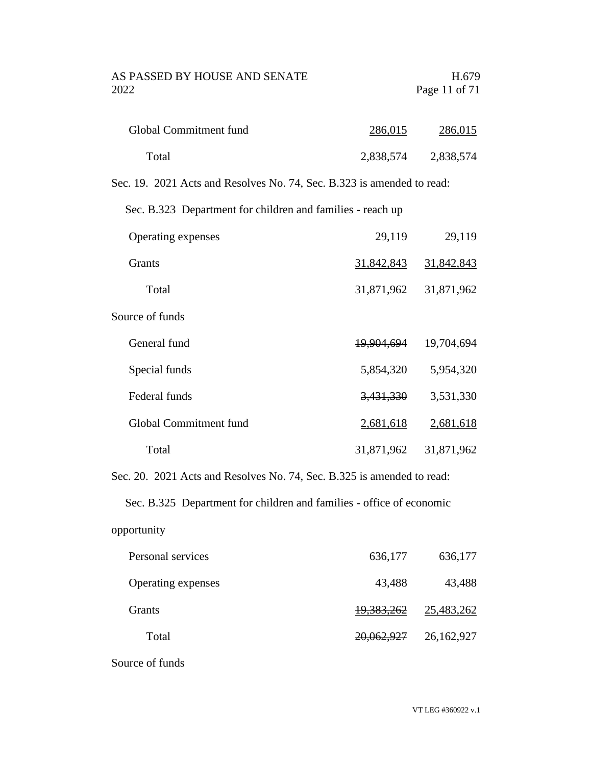| Global Commitment fund | 286,015   | 286,015   |
|------------------------|-----------|-----------|
| Total                  | 2,838,574 | 2,838,574 |

Sec. 19. 2021 Acts and Resolves No. 74, Sec. B.323 is amended to read:

Sec. B.323 Department for children and families - reach up

| Operating expenses     | 29,119     | 29,119     |
|------------------------|------------|------------|
| <b>Grants</b>          | 31,842,843 | 31,842,843 |
| Total                  | 31,871,962 | 31,871,962 |
| Source of funds        |            |            |
| General fund           | 19,904,694 | 19,704,694 |
| Special funds          | 5,854,320  | 5,954,320  |
| Federal funds          | 3,431,330  | 3,531,330  |
| Global Commitment fund | 2,681,618  | 2,681,618  |
| Total                  | 31,871,962 | 31,871,962 |

Sec. 20. 2021 Acts and Resolves No. 74, Sec. B.325 is amended to read:

Sec. B.325 Department for children and families - office of economic

| opportunity |  |
|-------------|--|
|             |  |

| Personal services  | 636,177               | 636,177    |
|--------------------|-----------------------|------------|
| Operating expenses | 43,488                | 43,488     |
| <b>Grants</b>      | 19,383,262            | 25,483,262 |
| Total              | <del>20,062,927</del> | 26,162,927 |

Source of funds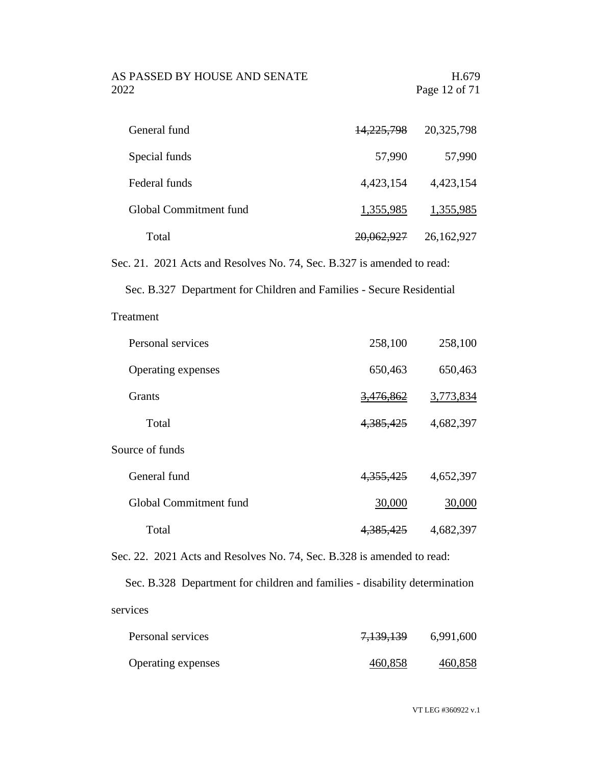AS PASSED BY HOUSE AND SENATE H.679 2022 Page 12 of 71

| General fund           | <del>14,225,798</del> | 20,325,798 |
|------------------------|-----------------------|------------|
| Special funds          | 57,990                | 57,990     |
| Federal funds          | 4,423,154             | 4,423,154  |
| Global Commitment fund | 1,355,985             | 1,355,985  |
| Total                  | 20,062,927            | 26,162,927 |

Sec. 21. 2021 Acts and Resolves No. 74, Sec. B.327 is amended to read:

Sec. B.327 Department for Children and Families - Secure Residential

Treatment

| Personal services      | 258,100     | 258,100   |
|------------------------|-------------|-----------|
| Operating expenses     | 650,463     | 650,463   |
| <b>Grants</b>          | 3,476,862   | 3,773,834 |
| Total                  | 4, 385, 425 | 4,682,397 |
| Source of funds        |             |           |
| General fund           | 4, 355, 425 | 4,652,397 |
| Global Commitment fund | 30,000      | 30,000    |
| Total                  | 4,385,425   | 4,682,397 |

Sec. 22. 2021 Acts and Resolves No. 74, Sec. B.328 is amended to read:

Sec. B.328 Department for children and families - disability determination services

| Personal services  | 7,139,139 | 6,991,600 |
|--------------------|-----------|-----------|
| Operating expenses | 460,858   | 460,858   |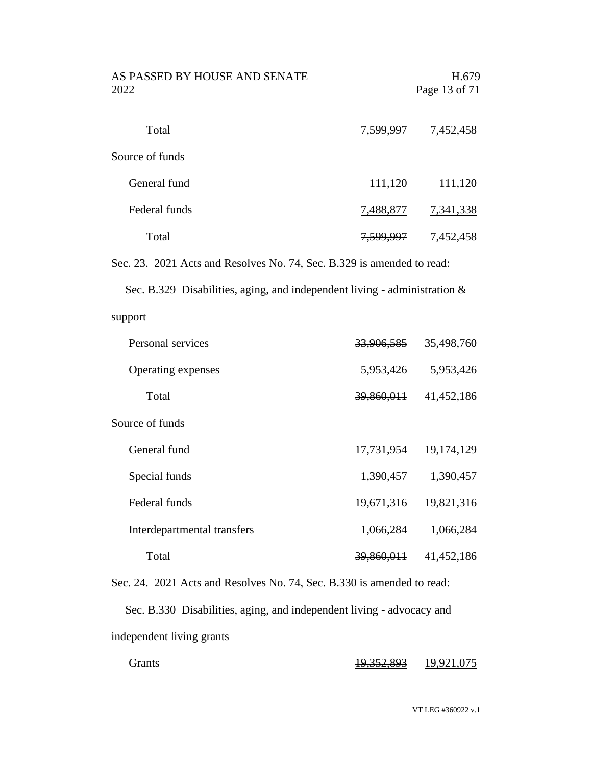| AS PASSED BY HOUSE AND SENATE<br>2022 |                      | H.679<br>Page 13 of 71 |  |  |
|---------------------------------------|----------------------|------------------------|--|--|
| Total                                 | 7,599,997            | 7,452,458              |  |  |
| Source of funds                       |                      |                        |  |  |
| General fund                          | 111,120              | 111,120                |  |  |
| Federal funds                         | <del>7,488,877</del> | 7,341,338              |  |  |
| Total                                 | 7,599,997            | 7,452,458              |  |  |

Sec. 23. 2021 Acts and Resolves No. 74, Sec. B.329 is amended to read:

Sec. B.329 Disabilities, aging, and independent living - administration & support

| Personal services           | 33,906,585            | 35,498,760 |
|-----------------------------|-----------------------|------------|
| Operating expenses          | 5,953,426             | 5,953,426  |
| Total                       | 39,860,011            | 41,452,186 |
| Source of funds             |                       |            |
| General fund                | 17,731,954            | 19,174,129 |
| Special funds               | 1,390,457             | 1,390,457  |
| Federal funds               | 19,671,316            | 19,821,316 |
| Interdepartmental transfers | 1,066,284             | 1,066,284  |
| Total                       | <del>39,860,011</del> | 41,452,186 |

Sec. 24. 2021 Acts and Resolves No. 74, Sec. B.330 is amended to read: Sec. B.330 Disabilities, aging, and independent living - advocacy and independent living grants

| <b>Grants</b> | 10.352.803<br>17.552.075 | 19,921,075 |
|---------------|--------------------------|------------|
|               |                          |            |

VT LEG #360922 v.1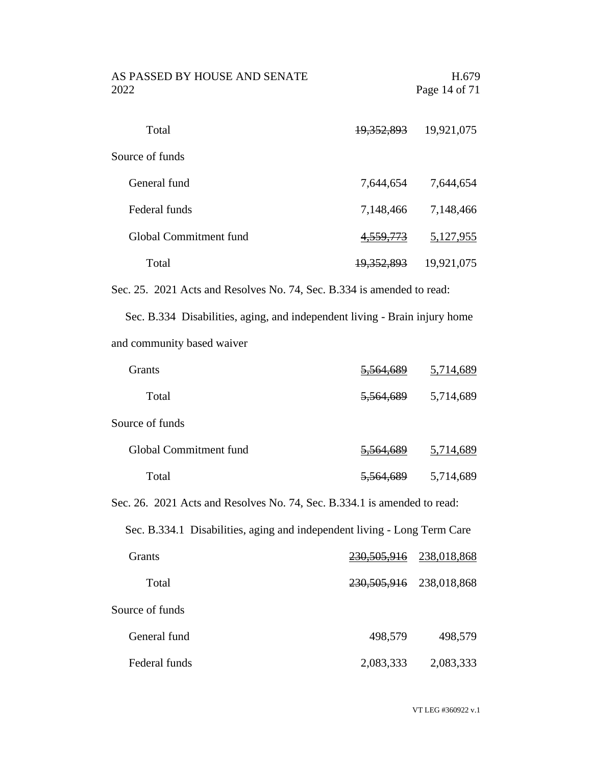| AS PASSED BY HOUSE AND SENATE<br>2022                                                                                                                                                                                             |                       | H.679<br>Page 14 of 71 |
|-----------------------------------------------------------------------------------------------------------------------------------------------------------------------------------------------------------------------------------|-----------------------|------------------------|
| Total                                                                                                                                                                                                                             | <del>19,352,893</del> | 19,921,075             |
| Source of funds                                                                                                                                                                                                                   |                       |                        |
| General fund                                                                                                                                                                                                                      | 7,644,654             | 7,644,654              |
| Federal funds                                                                                                                                                                                                                     | 7,148,466             | 7,148,466              |
| Global Commitment fund                                                                                                                                                                                                            | 4,559,773             | 5,127,955              |
| Total                                                                                                                                                                                                                             | 19,352,893            | 19,921,075             |
| Sec. 25. 2021 Acts and Resolves No. 74, Sec. B.334 is amended to read:                                                                                                                                                            |                       |                        |
| $\mathbf{r}$ , and the contract of the contract of the contract of the contract of the contract of the contract of the contract of the contract of the contract of the contract of the contract of the contract of the contract o |                       |                        |

Sec. B.334 Disabilities, aging, and independent living - Brain injury home and community based waiver

| <b>Grants</b>                                                            | 5.564     | 5,714,689 |
|--------------------------------------------------------------------------|-----------|-----------|
| Total                                                                    | 5,564,689 | 5,714,689 |
| Source of funds                                                          |           |           |
| Global Commitment fund                                                   | 5.564.689 | 5,714,689 |
| Total                                                                    | 5,564,689 | 5,714,689 |
| Sec. 26. 2021 Acts and Resolves No. 74, Sec. B.334.1 is amended to read: |           |           |
| Sec. B.334.1 Disabilities, aging and independent living - Long Term Care |           |           |

| <b>Grants</b>   | 230, 505, 916 | 238,018,868 |
|-----------------|---------------|-------------|
| Total           | 230,505,916   | 238,018,868 |
| Source of funds |               |             |
| General fund    | 498,579       | 498,579     |
| Federal funds   | 2,083,333     | 2,083,333   |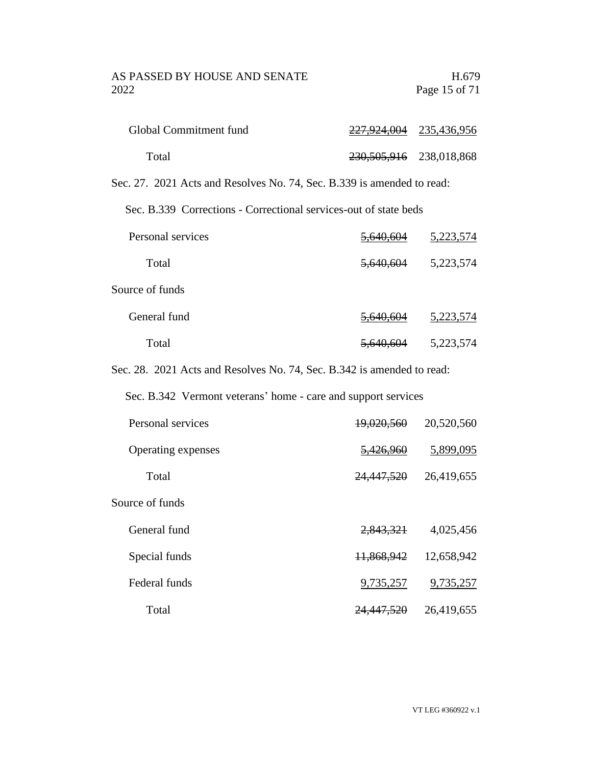| Global Commitment fund | 227,924,004 235,436,956     |  |
|------------------------|-----------------------------|--|
| Total                  | 230, 505, 916 238, 018, 868 |  |

Sec. 27. 2021 Acts and Resolves No. 74, Sec. B.339 is amended to read:

Sec. B.339 Corrections - Correctional services-out of state beds

| Personal services | <del>5,640,604</del> | 5,223,574 |
|-------------------|----------------------|-----------|
| Total             | 5,640,604            | 5,223,574 |
| Source of funds   |                      |           |
| General fund      | <del>5,640,604</del> | 5,223,574 |
| Total             | <del>5,640,604</del> | 5,223,574 |

Sec. 28. 2021 Acts and Resolves No. 74, Sec. B.342 is amended to read:

Sec. B.342 Vermont veterans' home - care and support services

| Personal services  | 19,020,560            | 20,520,560 |
|--------------------|-----------------------|------------|
| Operating expenses | 5,426,960             | 5,899,095  |
| Total              | 24,447,520            | 26,419,655 |
| Source of funds    |                       |            |
| General fund       | 2,843,321             | 4,025,456  |
| Special funds      | 11,868,942            | 12,658,942 |
| Federal funds      | 9,735,257             | 9,735,257  |
| Total              | <del>24,447,520</del> | 26,419,655 |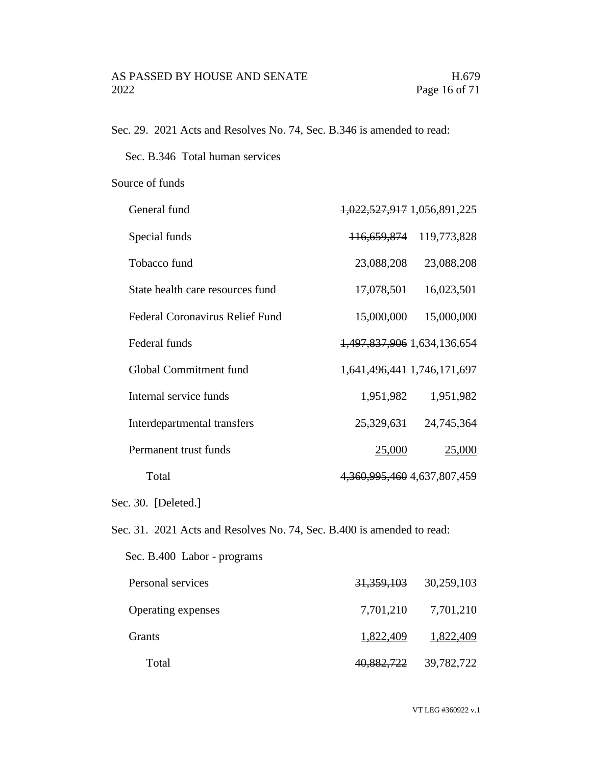Sec. 29. 2021 Acts and Resolves No. 74, Sec. B.346 is amended to read:

Sec. B.346 Total human services

#### Source of funds

| General fund                                                           | 1,022,527,917 1,056,891,225       |                           |
|------------------------------------------------------------------------|-----------------------------------|---------------------------|
| Special funds                                                          | <del>116,659,874</del>            | 119,773,828               |
| Tobacco fund                                                           | 23,088,208                        | 23,088,208                |
| State health care resources fund                                       | <del>17,078,501</del>             | 16,023,501                |
| <b>Federal Coronavirus Relief Fund</b>                                 | 15,000,000                        | 15,000,000                |
| Federal funds                                                          | 1,497,837,906 1,634,136,654       |                           |
| Global Commitment fund                                                 | 1,641,496,441 1,746,171,697       |                           |
| Internal service funds                                                 | 1,951,982                         | 1,951,982                 |
| Interdepartmental transfers                                            |                                   | 25, 329, 631 24, 745, 364 |
| Permanent trust funds                                                  | 25,000                            | 25,000                    |
| Total                                                                  | 4, 360, 995, 460 4, 637, 807, 459 |                           |
| Sec. 30. [Deleted.]                                                    |                                   |                           |
| Sec. 31. 2021 Acts and Resolves No. 74, Sec. B.400 is amended to read: |                                   |                           |
| Sec. B.400 Labor - programs                                            |                                   |                           |
| Personal services                                                      | <del>31,359,103</del>             | 30,259,103                |
| Operating expenses                                                     | 7,701,210                         | 7,701,210                 |
| Grants                                                                 | 1,822,409                         | 1,822,409                 |
| Total                                                                  | 40,882,722                        | 39,782,722                |

VT LEG #360922 v.1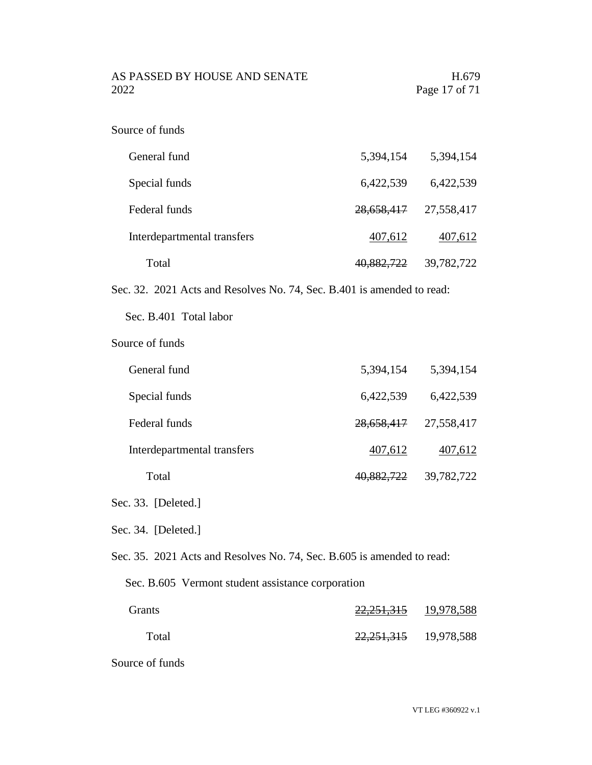AS PASSED BY HOUSE AND SENATE H.679 2022 Page 17 of 71

| Source of funds |  |
|-----------------|--|
|-----------------|--|

| General fund                | 5,394,154  | 5,394,154  |
|-----------------------------|------------|------------|
| Special funds               | 6,422,539  | 6,422,539  |
| Federal funds               | 28,658,417 | 27,558,417 |
| Interdepartmental transfers | 407,612    | 407,612    |
| Total                       | 40,882,722 | 39,782,722 |

Sec. 32. 2021 Acts and Resolves No. 74, Sec. B.401 is amended to read:

Sec. B.401 Total labor

Source of funds

| General fund                | 5,394,154             | 5,394,154  |
|-----------------------------|-----------------------|------------|
| Special funds               | 6,422,539             | 6,422,539  |
| Federal funds               | 28,658,417            | 27,558,417 |
| Interdepartmental transfers | 407,612               | 407,612    |
| Total                       | <del>40,882,722</del> | 39,782,722 |

Sec. 33. [Deleted.]

Sec. 34. [Deleted.]

Sec. 35. 2021 Acts and Resolves No. 74, Sec. B.605 is amended to read:

Sec. B.605 Vermont student assistance corporation

| <b>Grants</b> | 22, 251, 315              | 19,978,588 |
|---------------|---------------------------|------------|
| Total         | 22, 251, 315 19, 978, 588 |            |

Source of funds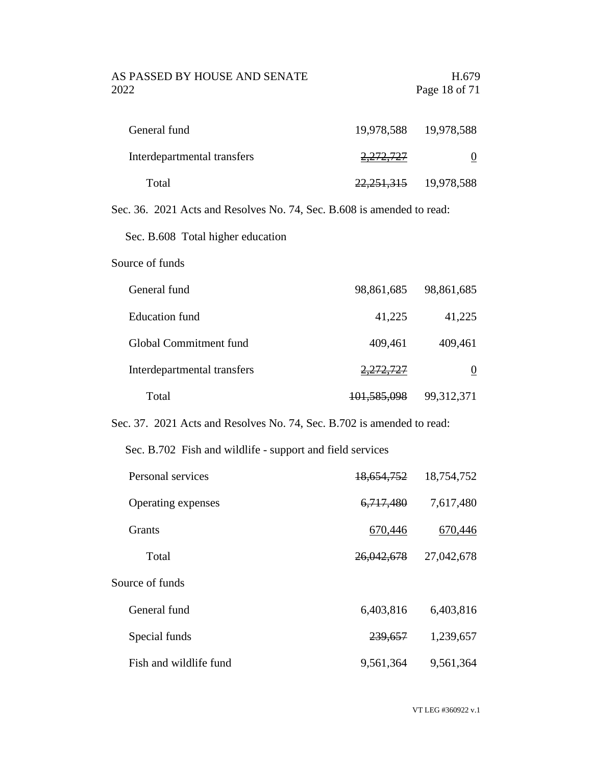### AS PASSED BY HOUSE AND SENATE H.679 2022 Page 18 of 71

| General fund                | 19,978,588 19,978,588     |  |
|-----------------------------|---------------------------|--|
| Interdepartmental transfers | <del>2,272,727</del>      |  |
| Total                       | 22, 251, 315 19, 978, 588 |  |

Sec. 36. 2021 Acts and Resolves No. 74, Sec. B.608 is amended to read:

Sec. B.608 Total higher education

#### Source of funds

| General fund                | 98,861,685             | 98,861,685 |
|-----------------------------|------------------------|------------|
| Education fund              | 41,225                 | 41,225     |
| Global Commitment fund      | 409,461                | 409,461    |
| Interdepartmental transfers | 2,272,727              |            |
| Total                       | <del>101,585,098</del> | 99,312,371 |

Sec. 37. 2021 Acts and Resolves No. 74, Sec. B.702 is amended to read:

Sec. B.702 Fish and wildlife - support and field services

| Personal services      | 18,654,752  | 18,754,752 |
|------------------------|-------------|------------|
| Operating expenses     | 6, 717, 480 | 7,617,480  |
| <b>Grants</b>          | 670,446     | 670,446    |
| Total                  | 26,042,678  | 27,042,678 |
| Source of funds        |             |            |
| General fund           | 6,403,816   | 6,403,816  |
| Special funds          | 239,657     | 1,239,657  |
| Fish and wildlife fund | 9,561,364   | 9,561,364  |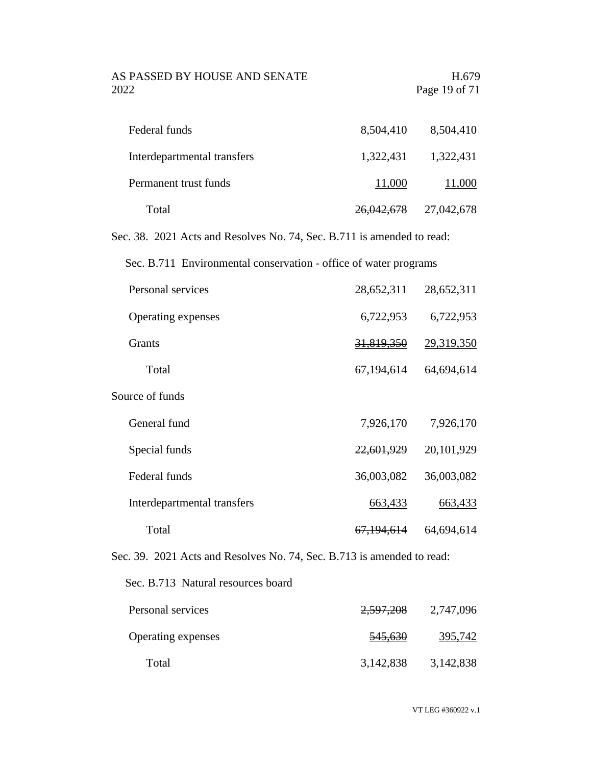#### AS PASSED BY HOUSE AND SENATE H.679 2022 Page 19 of 71

| Federal funds               | 8,504,410             | 8,504,410  |
|-----------------------------|-----------------------|------------|
| Interdepartmental transfers | 1,322,431             | 1,322,431  |
| Permanent trust funds       | 11,000                | 11,000     |
| Total                       | <del>26,042,678</del> | 27,042,678 |

Sec. 38. 2021 Acts and Resolves No. 74, Sec. B.711 is amended to read:

Sec. B.711 Environmental conservation - office of water programs

| Personal services           | 28,652,311            | 28,652,311 |
|-----------------------------|-----------------------|------------|
| Operating expenses          | 6,722,953             | 6,722,953  |
| <b>Grants</b>               | 31,819,350            | 29,319,350 |
| Total                       | 67,194,614            | 64,694,614 |
| Source of funds             |                       |            |
| General fund                | 7,926,170             | 7,926,170  |
| Special funds               | 22,601,929            | 20,101,929 |
| Federal funds               | 36,003,082            | 36,003,082 |
| Interdepartmental transfers | 663,433               | 663,433    |
| Total                       | <del>67,194,614</del> | 64,694,614 |

Sec. 39. 2021 Acts and Resolves No. 74, Sec. B.713 is amended to read:

Sec. B.713 Natural resources board

| Personal services         | 2,597,208          | 2,747,096 |
|---------------------------|--------------------|-----------|
| <b>Operating expenses</b> | <del>545,630</del> | 395,742   |
| Total                     | 3,142,838          | 3,142,838 |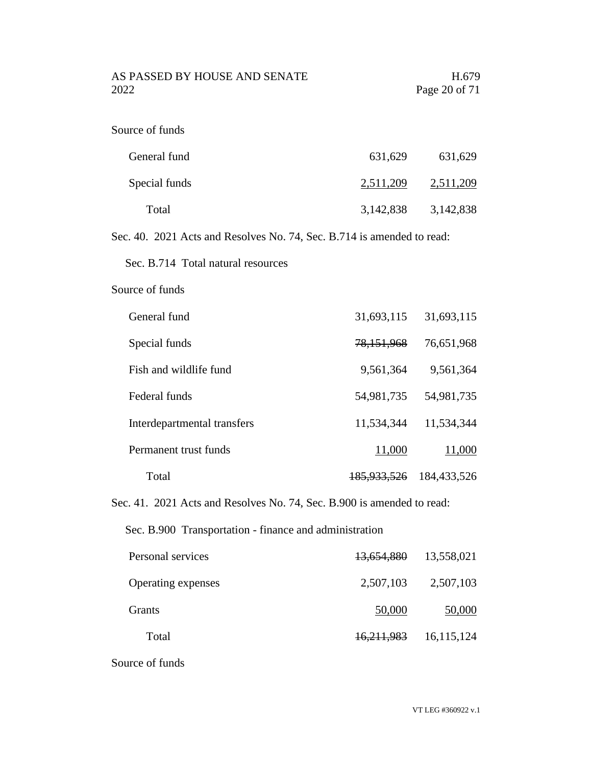AS PASSED BY HOUSE AND SENATE H.679 2022 Page 20 of 71

| Source of funds |  |  |  |
|-----------------|--|--|--|
|-----------------|--|--|--|

| General fund  | 631,629   | 631,629   |
|---------------|-----------|-----------|
| Special funds | 2,511,209 | 2,511,209 |
| Total         | 3,142,838 | 3,142,838 |

Sec. 40. 2021 Acts and Resolves No. 74, Sec. B.714 is amended to read:

Sec. B.714 Total natural resources

#### Source of funds

| General fund                | 31,693,115             | 31,693,115  |
|-----------------------------|------------------------|-------------|
| Special funds               | 78,151,968             | 76,651,968  |
| Fish and wildlife fund      | 9,561,364              | 9,561,364   |
| Federal funds               | 54,981,735             | 54,981,735  |
| Interdepartmental transfers | 11,534,344             | 11,534,344  |
| Permanent trust funds       | 11,000                 | 11,000      |
| Total                       | <del>185,933,526</del> | 184,433,526 |

Sec. 41. 2021 Acts and Resolves No. 74, Sec. B.900 is amended to read:

Sec. B.900 Transportation - finance and administration

| Personal services  | 13,654,880            | 13,558,021 |
|--------------------|-----------------------|------------|
| Operating expenses | 2,507,103             | 2,507,103  |
| Grants             | 50,000                | 50,000     |
| Total              | <del>16,211,983</del> | 16,115,124 |

Source of funds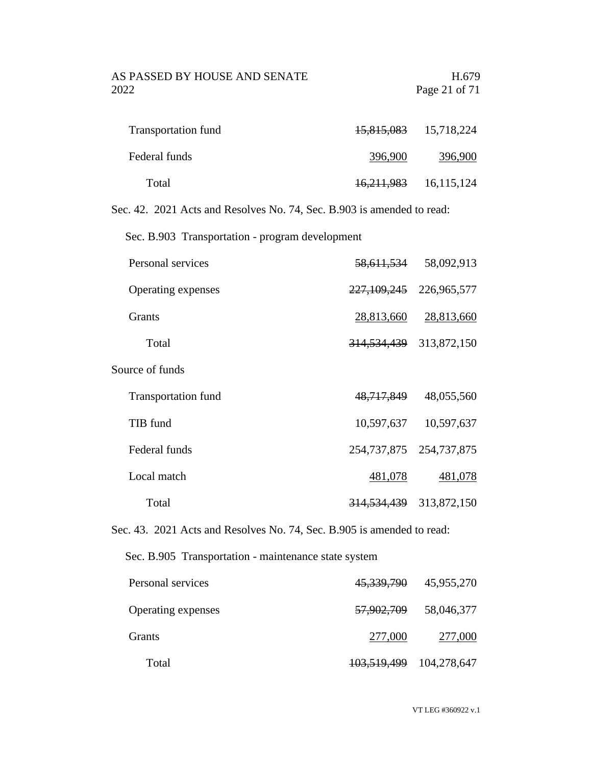#### AS PASSED BY HOUSE AND SENATE H.679 2022 Page 21 of 71

| <b>Transportation fund</b> |            | 15,815,083 15,718,224 |
|----------------------------|------------|-----------------------|
| Federal funds              | 396,900    | 396,900               |
| Total                      | 16,211,983 | 16,115,124            |

Sec. 42. 2021 Acts and Resolves No. 74, Sec. B.903 is amended to read:

Sec. B.903 Transportation - program development

| Personal services          | <del>58,611,534</del>  | 58,092,913  |
|----------------------------|------------------------|-------------|
| Operating expenses         | 227,109,245            | 226,965,577 |
| <b>Grants</b>              | 28,813,660             | 28,813,660  |
| Total                      | <del>314,534,439</del> | 313,872,150 |
| Source of funds            |                        |             |
| <b>Transportation fund</b> | 48,717,849             | 48,055,560  |
| TIB fund                   | 10,597,637             | 10,597,637  |
| Federal funds              | 254,737,875            | 254,737,875 |
| Local match                | 481,078                | 481,078     |
| Total                      | <del>314,534,439</del> | 313,872,150 |

Sec. 43. 2021 Acts and Resolves No. 74, Sec. B.905 is amended to read:

Sec. B.905 Transportation - maintenance state system

| Personal services         |                             | 45, 339, 790 45, 955, 270 |
|---------------------------|-----------------------------|---------------------------|
| <b>Operating expenses</b> | <del>57,902,709</del>       | 58,046,377                |
| Grants                    | 277,000                     | 277,000                   |
| Total                     | 103, 519, 499 104, 278, 647 |                           |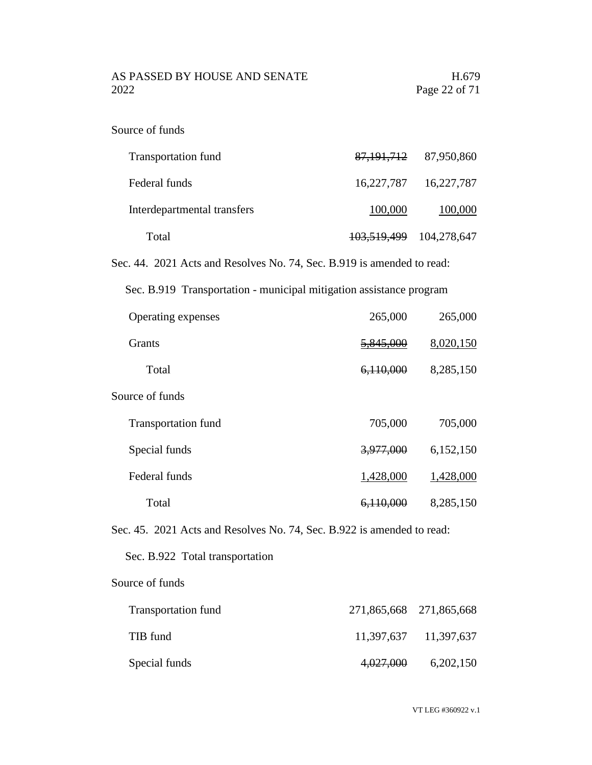AS PASSED BY HOUSE AND SENATE H.679 2022 Page 22 of 71

|  | Source of funds |  |  |
|--|-----------------|--|--|
|--|-----------------|--|--|

| <b>Transportation fund</b>  |                             | 87, 191, 712 87, 950, 860 |
|-----------------------------|-----------------------------|---------------------------|
| Federal funds               |                             | 16,227,787 16,227,787     |
| Interdepartmental transfers | 100,000                     | 100,000                   |
| Total                       | 103, 519, 499 104, 278, 647 |                           |

Sec. 44. 2021 Acts and Resolves No. 74, Sec. B.919 is amended to read:

Sec. B.919 Transportation - municipal mitigation assistance program

| Operating expenses         | 265,000   | 265,000   |
|----------------------------|-----------|-----------|
| Grants                     | 5,845,000 | 8,020,150 |
| Total                      | 6,110,000 | 8,285,150 |
| Source of funds            |           |           |
| <b>Transportation fund</b> | 705,000   | 705,000   |
| Special funds              | 3,977,000 | 6,152,150 |
| Federal funds              | 1,428,000 | 1,428,000 |
| Total                      | 6,110,000 | 8,285,150 |

Sec. 45. 2021 Acts and Resolves No. 74, Sec. B.922 is amended to read:

Sec. B.922 Total transportation

Source of funds

| <b>Transportation fund</b> | 271,865,668 271,865,668 |                       |
|----------------------------|-------------------------|-----------------------|
| TIB fund                   |                         | 11,397,637 11,397,637 |
| Special funds              | 4,027,000               | 6,202,150             |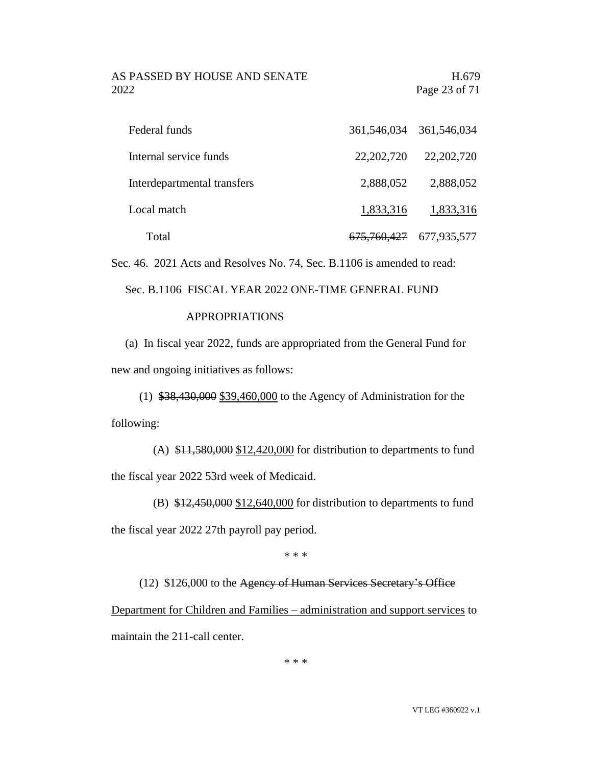#### AS PASSED BY HOUSE AND SENATE H.679 2022 Page 23 of 71

| Federal funds               |              | 361,546,034 361,546,034     |
|-----------------------------|--------------|-----------------------------|
| Internal service funds      | 22, 202, 720 | 22, 202, 720                |
| Interdepartmental transfers | 2,888,052    | 2,888,052                   |
| Local match                 | 1,833,316    | 1,833,316                   |
| Total                       |              | 675, 760, 427 677, 935, 577 |

Sec. 46. 2021 Acts and Resolves No. 74, Sec. B.1106 is amended to read:

Sec. B.1106 FISCAL YEAR 2022 ONE-TIME GENERAL FUND

#### APPROPRIATIONS

(a) In fiscal year 2022, funds are appropriated from the General Fund for new and ongoing initiatives as follows:

(1) \$38,430,000 \$39,460,000 to the Agency of Administration for the following:

(A) \$11,580,000 \$12,420,000 for distribution to departments to fund the fiscal year 2022 53rd week of Medicaid.

(B)  $$12,450,000$   $$12,640,000$  for distribution to departments to fund the fiscal year 2022 27th payroll pay period.

\* \* \*

(12) \$126,000 to the Agency of Human Services Secretary's Office Department for Children and Families – administration and support services to maintain the 211-call center.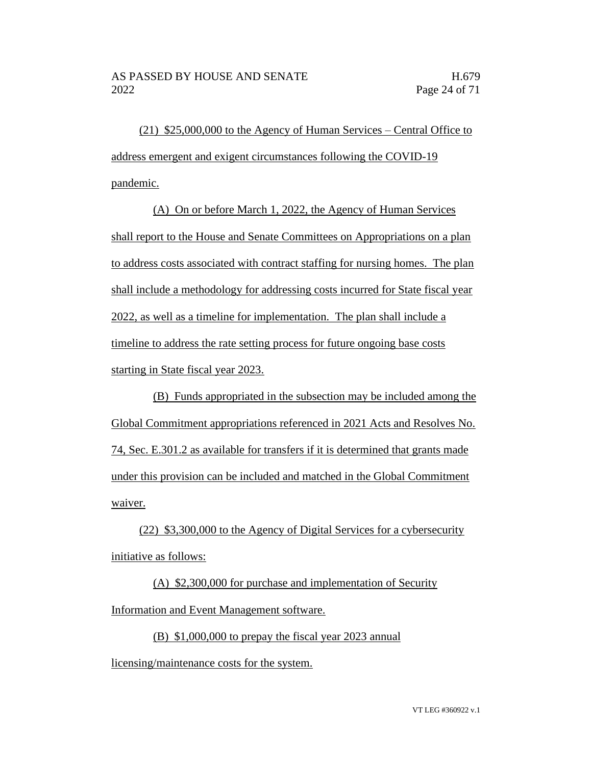(21) \$25,000,000 to the Agency of Human Services – Central Office to address emergent and exigent circumstances following the COVID-19 pandemic.

(A) On or before March 1, 2022, the Agency of Human Services shall report to the House and Senate Committees on Appropriations on a plan to address costs associated with contract staffing for nursing homes. The plan shall include a methodology for addressing costs incurred for State fiscal year 2022, as well as a timeline for implementation. The plan shall include a timeline to address the rate setting process for future ongoing base costs starting in State fiscal year 2023.

(B) Funds appropriated in the subsection may be included among the Global Commitment appropriations referenced in 2021 Acts and Resolves No. 74, Sec. E.301.2 as available for transfers if it is determined that grants made under this provision can be included and matched in the Global Commitment waiver.

(22) \$3,300,000 to the Agency of Digital Services for a cybersecurity initiative as follows:

(A) \$2,300,000 for purchase and implementation of Security Information and Event Management software.

(B) \$1,000,000 to prepay the fiscal year 2023 annual

licensing/maintenance costs for the system.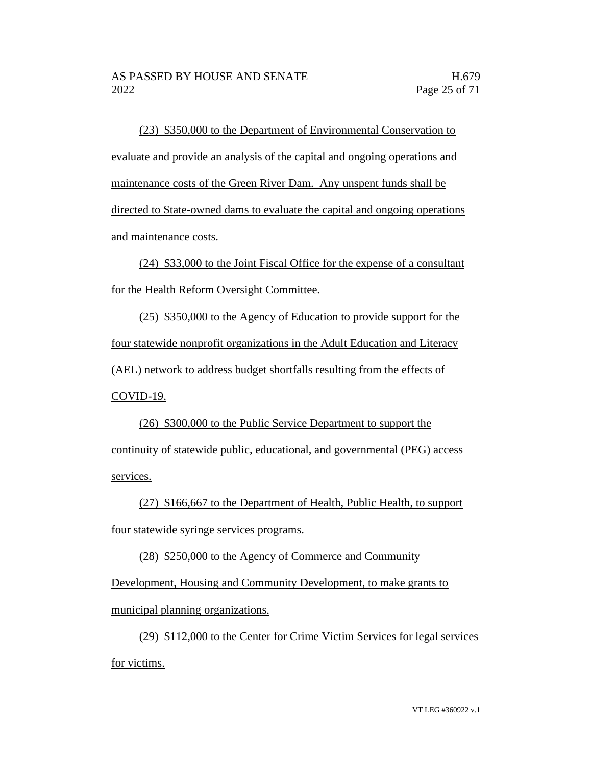(23) \$350,000 to the Department of Environmental Conservation to evaluate and provide an analysis of the capital and ongoing operations and maintenance costs of the Green River Dam. Any unspent funds shall be directed to State-owned dams to evaluate the capital and ongoing operations and maintenance costs.

(24) \$33,000 to the Joint Fiscal Office for the expense of a consultant for the Health Reform Oversight Committee.

(25) \$350,000 to the Agency of Education to provide support for the four statewide nonprofit organizations in the Adult Education and Literacy (AEL) network to address budget shortfalls resulting from the effects of COVID-19.

(26) \$300,000 to the Public Service Department to support the continuity of statewide public, educational, and governmental (PEG) access services.

(27) \$166,667 to the Department of Health, Public Health, to support four statewide syringe services programs.

(28) \$250,000 to the Agency of Commerce and Community

Development, Housing and Community Development, to make grants to municipal planning organizations.

(29) \$112,000 to the Center for Crime Victim Services for legal services for victims.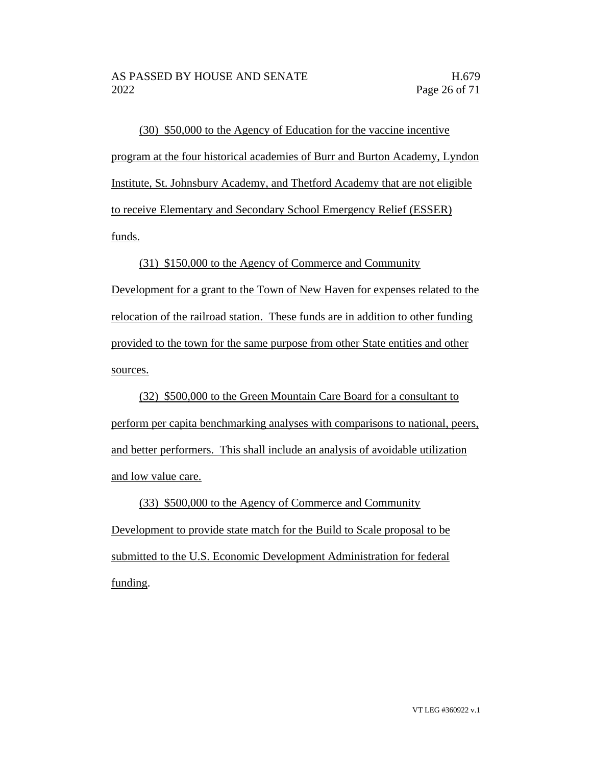(30) \$50,000 to the Agency of Education for the vaccine incentive program at the four historical academies of Burr and Burton Academy, Lyndon Institute, St. Johnsbury Academy, and Thetford Academy that are not eligible to receive Elementary and Secondary School Emergency Relief (ESSER) funds.

(31) \$150,000 to the Agency of Commerce and Community Development for a grant to the Town of New Haven for expenses related to the relocation of the railroad station. These funds are in addition to other funding provided to the town for the same purpose from other State entities and other sources.

(32) \$500,000 to the Green Mountain Care Board for a consultant to perform per capita benchmarking analyses with comparisons to national, peers, and better performers. This shall include an analysis of avoidable utilization and low value care.

(33) \$500,000 to the Agency of Commerce and Community Development to provide state match for the Build to Scale proposal to be submitted to the U.S. Economic Development Administration for federal funding.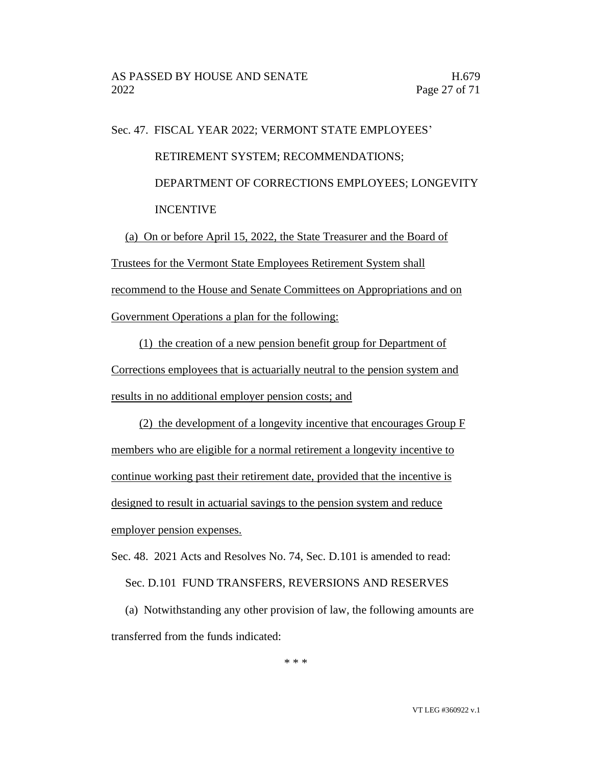# Sec. 47. FISCAL YEAR 2022; VERMONT STATE EMPLOYEES' RETIREMENT SYSTEM; RECOMMENDATIONS; DEPARTMENT OF CORRECTIONS EMPLOYEES; LONGEVITY INCENTIVE

(a) On or before April 15, 2022, the State Treasurer and the Board of Trustees for the Vermont State Employees Retirement System shall recommend to the House and Senate Committees on Appropriations and on Government Operations a plan for the following:

(1) the creation of a new pension benefit group for Department of Corrections employees that is actuarially neutral to the pension system and results in no additional employer pension costs; and

(2) the development of a longevity incentive that encourages Group F members who are eligible for a normal retirement a longevity incentive to continue working past their retirement date, provided that the incentive is designed to result in actuarial savings to the pension system and reduce employer pension expenses.

Sec. 48. 2021 Acts and Resolves No. 74, Sec. D.101 is amended to read:

Sec. D.101 FUND TRANSFERS, REVERSIONS AND RESERVES

(a) Notwithstanding any other provision of law, the following amounts are transferred from the funds indicated:

\* \* \*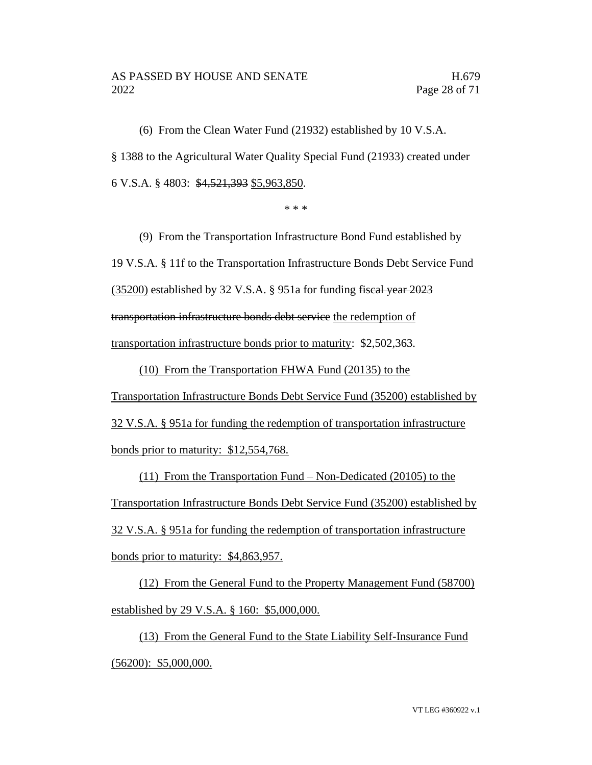(6) From the Clean Water Fund (21932) established by 10 V.S.A. § 1388 to the Agricultural Water Quality Special Fund (21933) created under 6 V.S.A. § 4803: \$4,521,393 \$5,963,850.

\* \* \*

(9) From the Transportation Infrastructure Bond Fund established by 19 V.S.A. § 11f to the Transportation Infrastructure Bonds Debt Service Fund (35200) established by 32 V.S.A. § 951a for funding fiscal year 2023 transportation infrastructure bonds debt service the redemption of transportation infrastructure bonds prior to maturity: \$2,502,363.

(10) From the Transportation FHWA Fund (20135) to the Transportation Infrastructure Bonds Debt Service Fund (35200) established by 32 V.S.A. § 951a for funding the redemption of transportation infrastructure bonds prior to maturity: \$12,554,768.

(11) From the Transportation Fund – Non-Dedicated (20105) to the Transportation Infrastructure Bonds Debt Service Fund (35200) established by 32 V.S.A. § 951a for funding the redemption of transportation infrastructure bonds prior to maturity: \$4,863,957.

(12) From the General Fund to the Property Management Fund (58700) established by 29 V.S.A. § 160: \$5,000,000.

(13) From the General Fund to the State Liability Self-Insurance Fund (56200): \$5,000,000.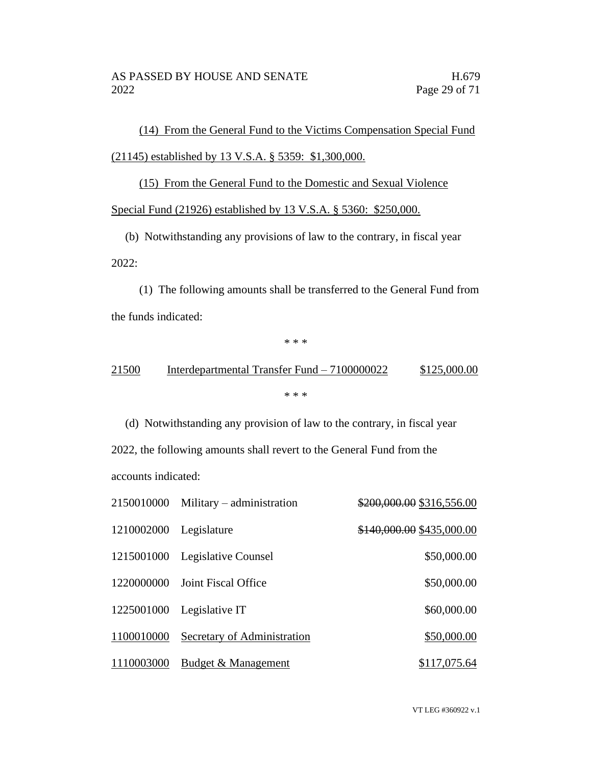(14) From the General Fund to the Victims Compensation Special Fund (21145) established by 13 V.S.A. § 5359: \$1,300,000.

(15) From the General Fund to the Domestic and Sexual Violence

Special Fund (21926) established by 13 V.S.A. § 5360: \$250,000.

(b) Notwithstanding any provisions of law to the contrary, in fiscal year 2022:

(1) The following amounts shall be transferred to the General Fund from the funds indicated:

\* \* \*

### 21500 Interdepartmental Transfer Fund – 7100000022 \$125,000.00 \* \* \*

(d) Notwithstanding any provision of law to the contrary, in fiscal year 2022, the following amounts shall revert to the General Fund from the accounts indicated:

|                        | 2150010000 Military – administration | \$200,000.00 \$316,556.00 |
|------------------------|--------------------------------------|---------------------------|
| 1210002000 Legislature |                                      | \$140,000.00 \$435,000.00 |
|                        | 1215001000 Legislative Counsel       | \$50,000.00               |
|                        | 1220000000 Joint Fiscal Office       | \$50,000.00               |
|                        | 1225001000 Legislative IT            | \$60,000.00               |
| 1100010000             | Secretary of Administration          | \$50,000.00               |
| 1110003000             | Budget & Management                  | \$117,075.64              |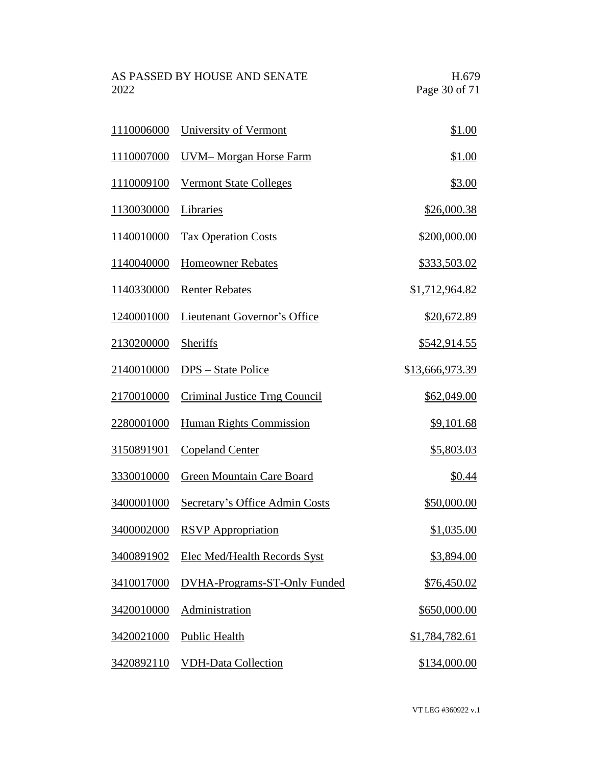AS PASSED BY HOUSE AND SENATE H.679<br>2022 Page 30 of 71 Page 30 of 71

| 1110006000 | University of Vermont               | \$1.00          |
|------------|-------------------------------------|-----------------|
| 1110007000 | <b>UVM-Morgan Horse Farm</b>        | \$1.00          |
| 1110009100 | <b>Vermont State Colleges</b>       | \$3.00          |
| 1130030000 | Libraries                           | \$26,000.38     |
| 1140010000 | <b>Tax Operation Costs</b>          | \$200,000.00    |
| 1140040000 | <b>Homeowner Rebates</b>            | \$333,503.02    |
| 1140330000 | <b>Renter Rebates</b>               | \$1,712,964.82  |
| 1240001000 | Lieutenant Governor's Office        | \$20,672.89     |
| 2130200000 | Sheriffs                            | \$542,914.55    |
| 2140010000 | DPS – State Police                  | \$13,666,973.39 |
| 2170010000 | Criminal Justice Trng Council       | \$62,049.00     |
| 2280001000 | <b>Human Rights Commission</b>      | \$9,101.68      |
| 3150891901 | <b>Copeland Center</b>              | \$5,803.03      |
| 3330010000 | <b>Green Mountain Care Board</b>    | <u>\$0.44</u>   |
| 3400001000 | Secretary's Office Admin Costs      | \$50,000.00     |
| 3400002000 | <b>RSVP</b> Appropriation           | \$1,035.00      |
| 3400891902 | <b>Elec Med/Health Records Syst</b> | \$3,894.00      |
| 3410017000 | DVHA-Programs-ST-Only Funded        | \$76,450.02     |
| 3420010000 | Administration                      | \$650,000.00    |
| 3420021000 | <b>Public Health</b>                | \$1,784,782.61  |
| 3420892110 | <b>VDH-Data Collection</b>          | \$134,000.00    |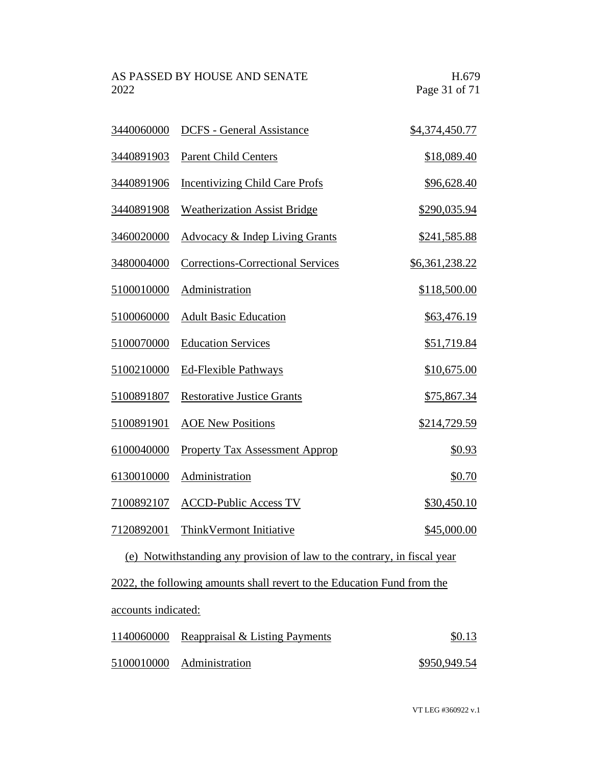AS PASSED BY HOUSE AND SENATE H.679<br>2022 Page 31 of 71 Page 31 of 71

| 3440060000          | <b>DCFS</b> - General Assistance                                        | \$4,374,450.77        |
|---------------------|-------------------------------------------------------------------------|-----------------------|
| 3440891903          | <b>Parent Child Centers</b>                                             | \$18,089.40           |
| 3440891906          | <b>Incentivizing Child Care Profs</b>                                   | \$96,628.40           |
| 3440891908          | <b>Weatherization Assist Bridge</b>                                     | \$290,035.94          |
| 3460020000          | Advocacy & Indep Living Grants                                          | \$241,585.88          |
| 3480004000          | <b>Corrections-Correctional Services</b>                                | <u>\$6,361,238.22</u> |
| 5100010000          | Administration                                                          | \$118,500.00          |
| 5100060000          | <b>Adult Basic Education</b>                                            | \$63,476.19           |
| 5100070000          | <b>Education Services</b>                                               | \$51,719.84           |
| 5100210000          | Ed-Flexible Pathways                                                    | \$10,675.00           |
| 5100891807          | <b>Restorative Justice Grants</b>                                       | \$75,867.34           |
| 5100891901          | <b>AOE New Positions</b>                                                | \$214,729.59          |
| 6100040000          | <b>Property Tax Assessment Approp</b>                                   | \$0.93                |
| 6130010000          | Administration                                                          | \$0.70                |
| 7100892107          | <b>ACCD-Public Access TV</b>                                            | \$30,450.10           |
| 7120892001          | Think Vermont Initiative                                                | \$45,000.00           |
| (e)                 | Notwithstanding any provision of law to the contrary, in fiscal year    |                       |
|                     | 2022, the following amounts shall revert to the Education Fund from the |                       |
| accounts indicated: |                                                                         |                       |
| 1140060000          | Reappraisal & Listing Payments                                          | \$0.13                |

Administration \$950,949.54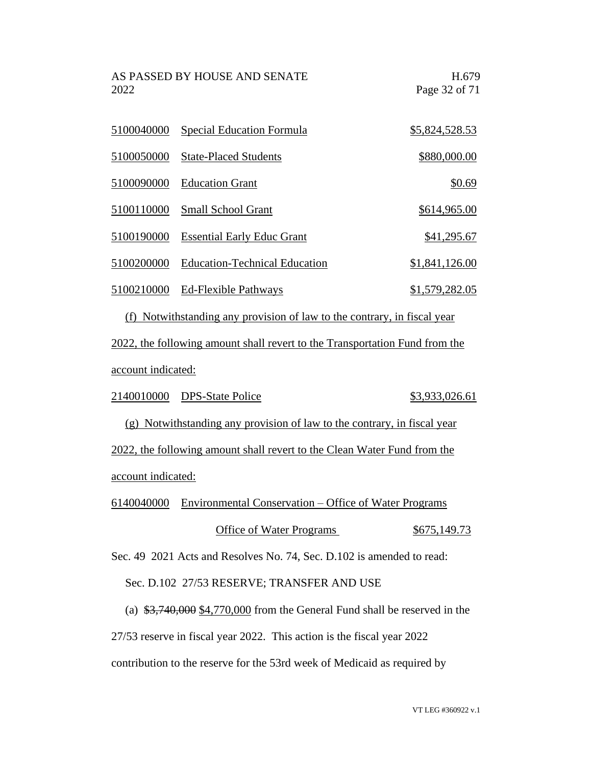AS PASSED BY HOUSE AND SENATE FOR THE H.679 2022 Page 32 of 71

|            | 5100040000 Special Education Formula | \$5,824,528.53 |
|------------|--------------------------------------|----------------|
| 5100050000 | <b>State-Placed Students</b>         | \$880,000.00   |
| 5100090000 | <b>Education Grant</b>               | \$0.69         |
| 5100110000 | Small School Grant                   | \$614,965.00   |
| 5100190000 | <b>Essential Early Educ Grant</b>    | \$41,295.67    |
| 5100200000 | <b>Education-Technical Education</b> | \$1,841,126.00 |
| 5100210000 | <b>Ed-Flexible Pathways</b>          | \$1,579,282.05 |

(f) Notwithstanding any provision of law to the contrary, in fiscal year 2022, the following amount shall revert to the Transportation Fund from the account indicated:

2140010000 DPS-State Police \$3,933,026.61

(g) Notwithstanding any provision of law to the contrary, in fiscal year 2022, the following amount shall revert to the Clean Water Fund from the account indicated:

6140040000 Environmental Conservation – Office of Water Programs

#### Office of Water Programs \$675,149.73

Sec. 49 2021 Acts and Resolves No. 74, Sec. D.102 is amended to read:

#### Sec. D.102 27/53 RESERVE; TRANSFER AND USE

(a)  $\frac{$3,740,000}{$4,770,000}$  from the General Fund shall be reserved in the

27/53 reserve in fiscal year 2022. This action is the fiscal year 2022

contribution to the reserve for the 53rd week of Medicaid as required by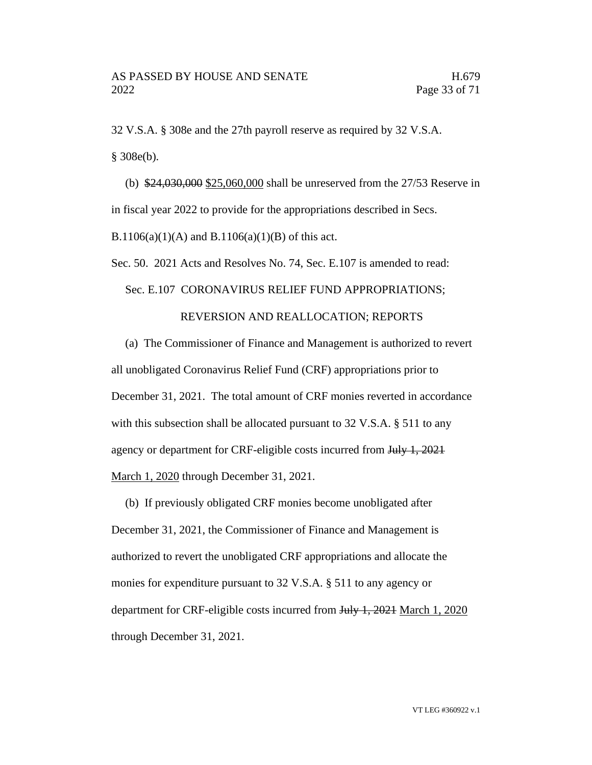32 V.S.A. § 308e and the 27th payroll reserve as required by 32 V.S.A. § 308e(b).

(b) \$24,030,000 \$25,060,000 shall be unreserved from the 27/53 Reserve in in fiscal year 2022 to provide for the appropriations described in Secs.

B.1106(a)(1)(A) and B.1106(a)(1)(B) of this act.

Sec. 50. 2021 Acts and Resolves No. 74, Sec. E.107 is amended to read:

#### Sec. E.107 CORONAVIRUS RELIEF FUND APPROPRIATIONS;

#### REVERSION AND REALLOCATION; REPORTS

(a) The Commissioner of Finance and Management is authorized to revert all unobligated Coronavirus Relief Fund (CRF) appropriations prior to December 31, 2021. The total amount of CRF monies reverted in accordance with this subsection shall be allocated pursuant to 32 V.S.A. § 511 to any agency or department for CRF-eligible costs incurred from July 1, 2021 March 1, 2020 through December 31, 2021.

(b) If previously obligated CRF monies become unobligated after December 31, 2021, the Commissioner of Finance and Management is authorized to revert the unobligated CRF appropriations and allocate the monies for expenditure pursuant to 32 V.S.A. § 511 to any agency or department for CRF-eligible costs incurred from July 1, 2021 March 1, 2020 through December 31, 2021.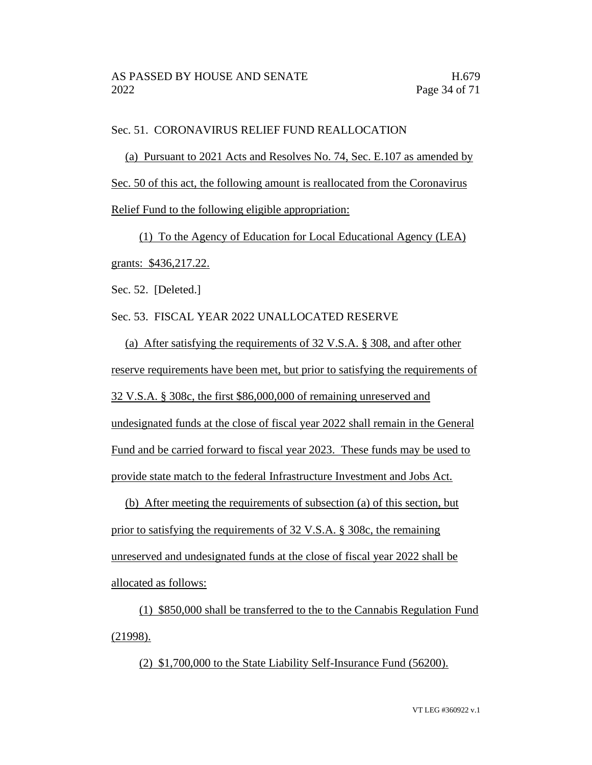#### Sec. 51. CORONAVIRUS RELIEF FUND REALLOCATION

(a) Pursuant to 2021 Acts and Resolves No. 74, Sec. E.107 as amended by Sec. 50 of this act, the following amount is reallocated from the Coronavirus Relief Fund to the following eligible appropriation:

(1) To the Agency of Education for Local Educational Agency (LEA) grants: \$436,217.22.

Sec. 52. [Deleted.]

Sec. 53. FISCAL YEAR 2022 UNALLOCATED RESERVE

(a) After satisfying the requirements of 32 V.S.A. § 308, and after other reserve requirements have been met, but prior to satisfying the requirements of 32 V.S.A. § 308c, the first \$86,000,000 of remaining unreserved and undesignated funds at the close of fiscal year 2022 shall remain in the General Fund and be carried forward to fiscal year 2023. These funds may be used to provide state match to the federal Infrastructure Investment and Jobs Act.

(b) After meeting the requirements of subsection (a) of this section, but prior to satisfying the requirements of 32 V.S.A. § 308c, the remaining unreserved and undesignated funds at the close of fiscal year 2022 shall be allocated as follows:

(1) \$850,000 shall be transferred to the to the Cannabis Regulation Fund (21998).

(2) \$1,700,000 to the State Liability Self-Insurance Fund (56200).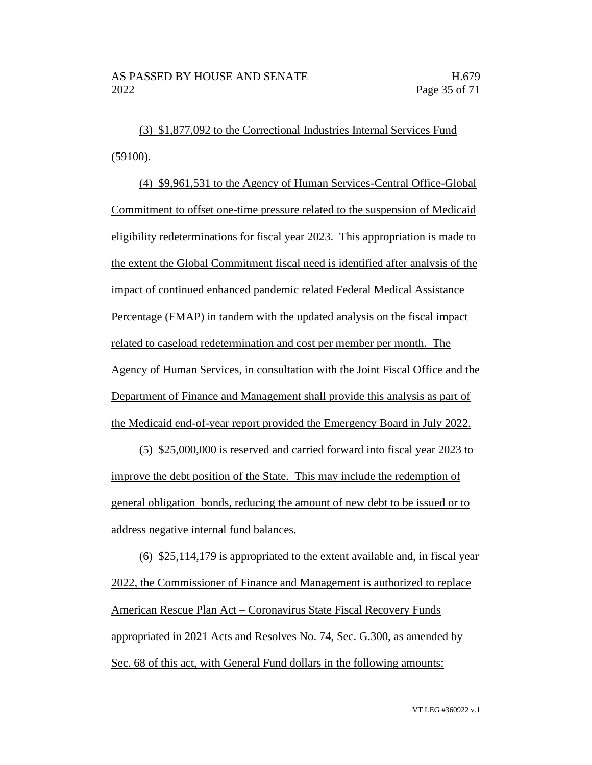(3) \$1,877,092 to the Correctional Industries Internal Services Fund (59100).

(4) \$9,961,531 to the Agency of Human Services-Central Office-Global Commitment to offset one-time pressure related to the suspension of Medicaid eligibility redeterminations for fiscal year 2023. This appropriation is made to the extent the Global Commitment fiscal need is identified after analysis of the impact of continued enhanced pandemic related Federal Medical Assistance Percentage (FMAP) in tandem with the updated analysis on the fiscal impact related to caseload redetermination and cost per member per month. The Agency of Human Services, in consultation with the Joint Fiscal Office and the Department of Finance and Management shall provide this analysis as part of the Medicaid end-of-year report provided the Emergency Board in July 2022.

(5) \$25,000,000 is reserved and carried forward into fiscal year 2023 to improve the debt position of the State. This may include the redemption of general obligation bonds, reducing the amount of new debt to be issued or to address negative internal fund balances.

(6) \$25,114,179 is appropriated to the extent available and, in fiscal year 2022, the Commissioner of Finance and Management is authorized to replace American Rescue Plan Act – Coronavirus State Fiscal Recovery Funds appropriated in 2021 Acts and Resolves No. 74, Sec. G.300, as amended by Sec. 68 of this act, with General Fund dollars in the following amounts: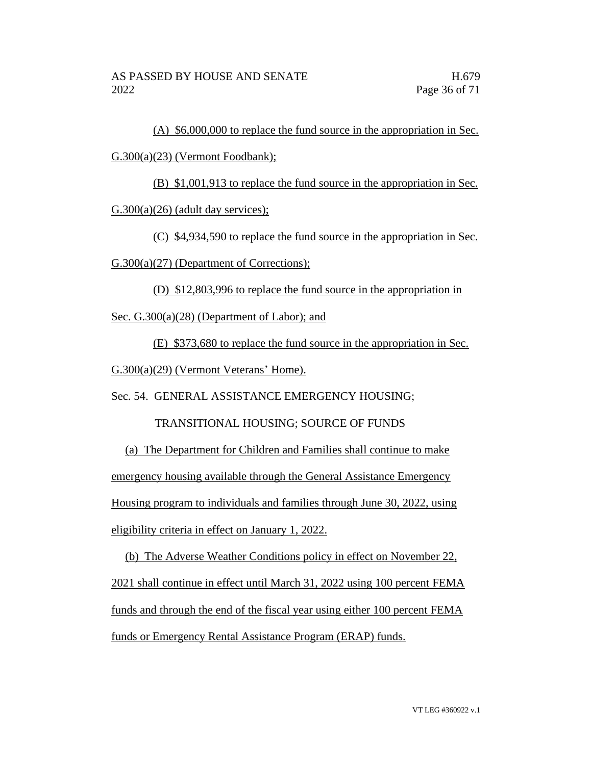(A) \$6,000,000 to replace the fund source in the appropriation in Sec.

#### G.300(a)(23) (Vermont Foodbank);

(B) \$1,001,913 to replace the fund source in the appropriation in Sec.

 $G.300(a)(26)$  (adult day services);

(C) \$4,934,590 to replace the fund source in the appropriation in Sec.

G.300(a)(27) (Department of Corrections);

(D) \$12,803,996 to replace the fund source in the appropriation in

Sec. G.300(a)(28) (Department of Labor); and

(E) \$373,680 to replace the fund source in the appropriation in Sec.

G.300(a)(29) (Vermont Veterans' Home).

Sec. 54. GENERAL ASSISTANCE EMERGENCY HOUSING;

TRANSITIONAL HOUSING; SOURCE OF FUNDS

(a) The Department for Children and Families shall continue to make emergency housing available through the General Assistance Emergency Housing program to individuals and families through June 30, 2022, using eligibility criteria in effect on January 1, 2022.

(b) The Adverse Weather Conditions policy in effect on November 22, 2021 shall continue in effect until March 31, 2022 using 100 percent FEMA funds and through the end of the fiscal year using either 100 percent FEMA funds or Emergency Rental Assistance Program (ERAP) funds.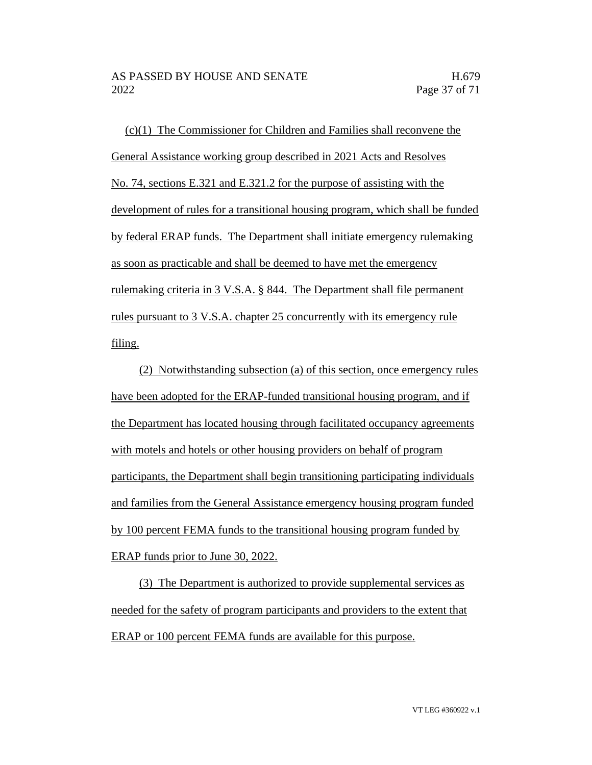(c)(1) The Commissioner for Children and Families shall reconvene the General Assistance working group described in 2021 Acts and Resolves No. 74, sections E.321 and E.321.2 for the purpose of assisting with the development of rules for a transitional housing program, which shall be funded by federal ERAP funds. The Department shall initiate emergency rulemaking as soon as practicable and shall be deemed to have met the emergency rulemaking criteria in 3 V.S.A. § 844. The Department shall file permanent rules pursuant to 3 V.S.A. chapter 25 concurrently with its emergency rule filing.

(2) Notwithstanding subsection (a) of this section, once emergency rules have been adopted for the ERAP-funded transitional housing program, and if the Department has located housing through facilitated occupancy agreements with motels and hotels or other housing providers on behalf of program participants, the Department shall begin transitioning participating individuals and families from the General Assistance emergency housing program funded by 100 percent FEMA funds to the transitional housing program funded by ERAP funds prior to June 30, 2022.

(3) The Department is authorized to provide supplemental services as needed for the safety of program participants and providers to the extent that ERAP or 100 percent FEMA funds are available for this purpose.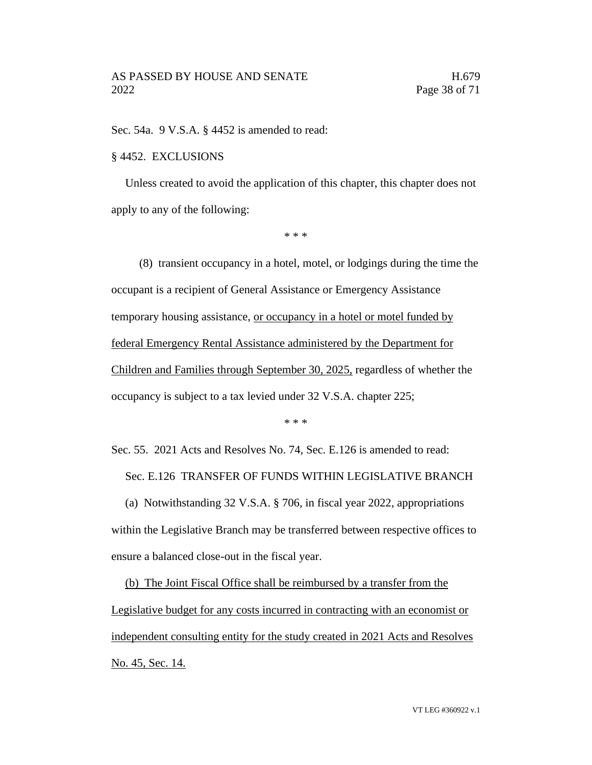Sec. 54a. 9 V.S.A. § 4452 is amended to read:

#### § 4452. EXCLUSIONS

Unless created to avoid the application of this chapter, this chapter does not apply to any of the following:

\* \* \*

(8) transient occupancy in a hotel, motel, or lodgings during the time the occupant is a recipient of General Assistance or Emergency Assistance temporary housing assistance, or occupancy in a hotel or motel funded by federal Emergency Rental Assistance administered by the Department for Children and Families through September 30, 2025, regardless of whether the occupancy is subject to a tax levied under 32 V.S.A. chapter 225;

\* \* \*

Sec. 55. 2021 Acts and Resolves No. 74, Sec. E.126 is amended to read: Sec. E.126 TRANSFER OF FUNDS WITHIN LEGISLATIVE BRANCH

(a) Notwithstanding 32 V.S.A. § 706, in fiscal year 2022, appropriations within the Legislative Branch may be transferred between respective offices to ensure a balanced close-out in the fiscal year.

(b) The Joint Fiscal Office shall be reimbursed by a transfer from the Legislative budget for any costs incurred in contracting with an economist or independent consulting entity for the study created in 2021 Acts and Resolves No. 45, Sec. 14.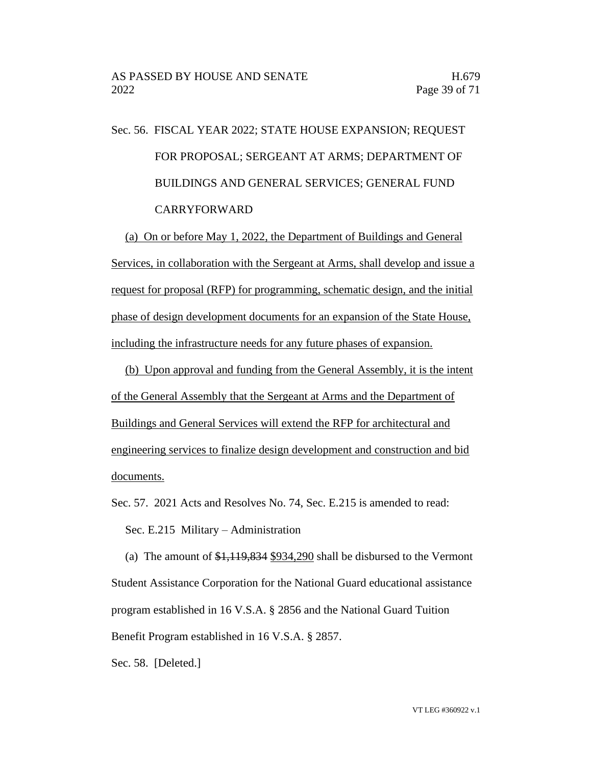## Sec. 56. FISCAL YEAR 2022; STATE HOUSE EXPANSION; REQUEST FOR PROPOSAL; SERGEANT AT ARMS; DEPARTMENT OF BUILDINGS AND GENERAL SERVICES; GENERAL FUND CARRYFORWARD

(a) On or before May 1, 2022, the Department of Buildings and General Services, in collaboration with the Sergeant at Arms, shall develop and issue a request for proposal (RFP) for programming, schematic design, and the initial phase of design development documents for an expansion of the State House, including the infrastructure needs for any future phases of expansion.

(b) Upon approval and funding from the General Assembly, it is the intent of the General Assembly that the Sergeant at Arms and the Department of Buildings and General Services will extend the RFP for architectural and engineering services to finalize design development and construction and bid documents.

Sec. 57. 2021 Acts and Resolves No. 74, Sec. E.215 is amended to read: Sec. E.215 Military – Administration

(a) The amount of  $\frac{1,119,834}{1,9034,290}$  shall be disbursed to the Vermont Student Assistance Corporation for the National Guard educational assistance program established in 16 V.S.A. § 2856 and the National Guard Tuition Benefit Program established in 16 V.S.A. § 2857.

Sec. 58. [Deleted.]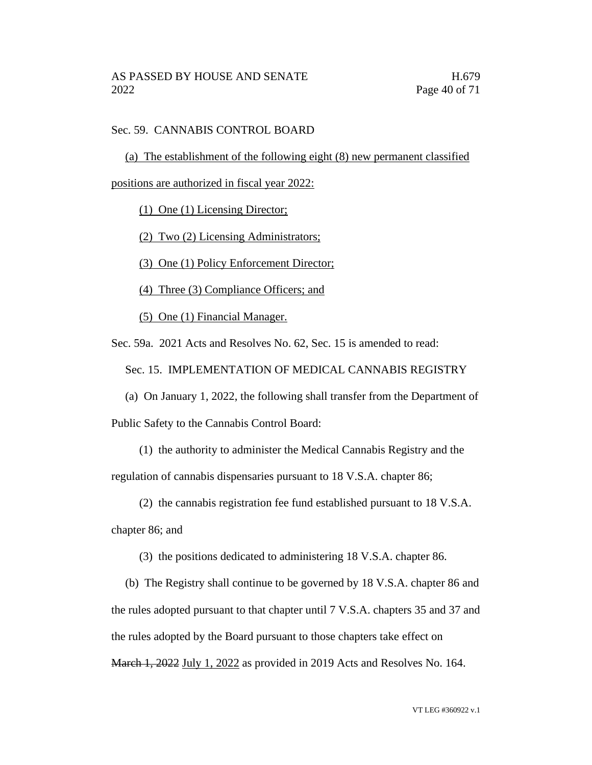#### Sec. 59. CANNABIS CONTROL BOARD

(a) The establishment of the following eight (8) new permanent classified

positions are authorized in fiscal year 2022:

(1) One (1) Licensing Director;

(2) Two (2) Licensing Administrators;

(3) One (1) Policy Enforcement Director;

(4) Three (3) Compliance Officers; and

(5) One (1) Financial Manager.

Sec. 59a. 2021 Acts and Resolves No. 62, Sec. 15 is amended to read:

Sec. 15. IMPLEMENTATION OF MEDICAL CANNABIS REGISTRY

(a) On January 1, 2022, the following shall transfer from the Department of Public Safety to the Cannabis Control Board:

(1) the authority to administer the Medical Cannabis Registry and the

regulation of cannabis dispensaries pursuant to 18 V.S.A. chapter 86;

(2) the cannabis registration fee fund established pursuant to 18 V.S.A.

chapter 86; and

(3) the positions dedicated to administering 18 V.S.A. chapter 86.

(b) The Registry shall continue to be governed by 18 V.S.A. chapter 86 and the rules adopted pursuant to that chapter until 7 V.S.A. chapters 35 and 37 and the rules adopted by the Board pursuant to those chapters take effect on March 1, 2022 July 1, 2022 as provided in 2019 Acts and Resolves No. 164.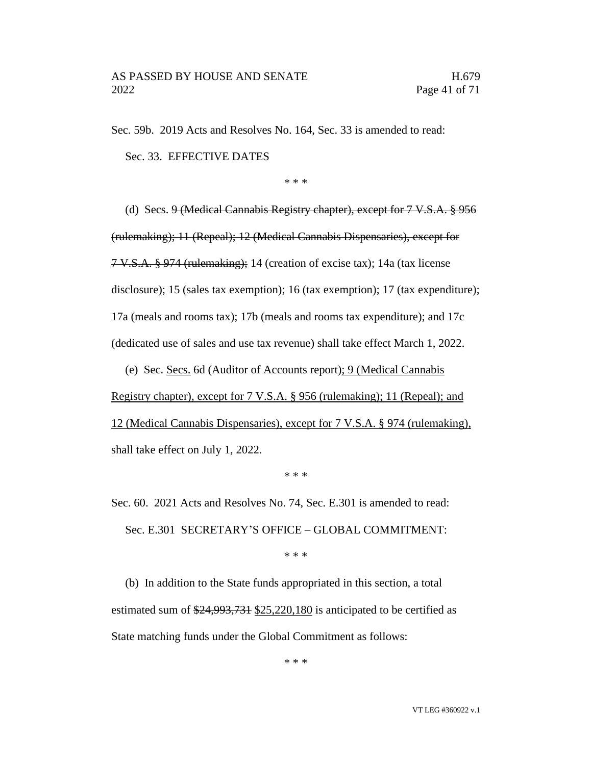Sec. 59b. 2019 Acts and Resolves No. 164, Sec. 33 is amended to read:

Sec. 33. EFFECTIVE DATES

\* \* \*

(d) Secs. 9 (Medical Cannabis Registry chapter), except for 7 V.S.A. § 956 (rulemaking); 11 (Repeal); 12 (Medical Cannabis Dispensaries), except for 7 V.S.A. § 974 (rulemaking); 14 (creation of excise tax); 14a (tax license disclosure); 15 (sales tax exemption); 16 (tax exemption); 17 (tax expenditure); 17a (meals and rooms tax); 17b (meals and rooms tax expenditure); and 17c (dedicated use of sales and use tax revenue) shall take effect March 1, 2022.

(e) Sec. Secs. 6d (Auditor of Accounts report); 9 (Medical Cannabis

Registry chapter), except for 7 V.S.A. § 956 (rulemaking); 11 (Repeal); and 12 (Medical Cannabis Dispensaries), except for 7 V.S.A. § 974 (rulemaking), shall take effect on July 1, 2022.

\* \* \*

Sec. 60. 2021 Acts and Resolves No. 74, Sec. E.301 is amended to read: Sec. E.301 SECRETARY'S OFFICE – GLOBAL COMMITMENT:

\* \* \*

(b) In addition to the State funds appropriated in this section, a total estimated sum of \$24,993,731 \$25,220,180 is anticipated to be certified as State matching funds under the Global Commitment as follows:

\* \* \*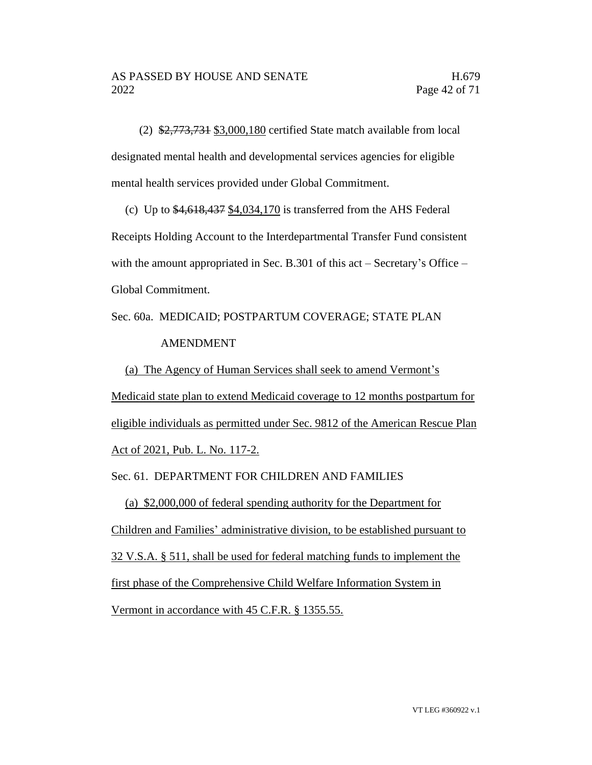(2) \$2,773,731 \$3,000,180 certified State match available from local designated mental health and developmental services agencies for eligible mental health services provided under Global Commitment.

(c) Up to  $$4,618,437 \ $4,034,170$$  is transferred from the AHS Federal Receipts Holding Account to the Interdepartmental Transfer Fund consistent with the amount appropriated in Sec. B.301 of this act – Secretary's Office – Global Commitment.

Sec. 60a. MEDICAID; POSTPARTUM COVERAGE; STATE PLAN AMENDMENT

(a) The Agency of Human Services shall seek to amend Vermont's Medicaid state plan to extend Medicaid coverage to 12 months postpartum for eligible individuals as permitted under Sec. 9812 of the American Rescue Plan Act of 2021, Pub. L. No. 117-2.

Sec. 61. DEPARTMENT FOR CHILDREN AND FAMILIES

(a) \$2,000,000 of federal spending authority for the Department for Children and Families' administrative division, to be established pursuant to 32 V.S.A. § 511, shall be used for federal matching funds to implement the first phase of the Comprehensive Child Welfare Information System in Vermont in accordance with 45 C.F.R. § 1355.55.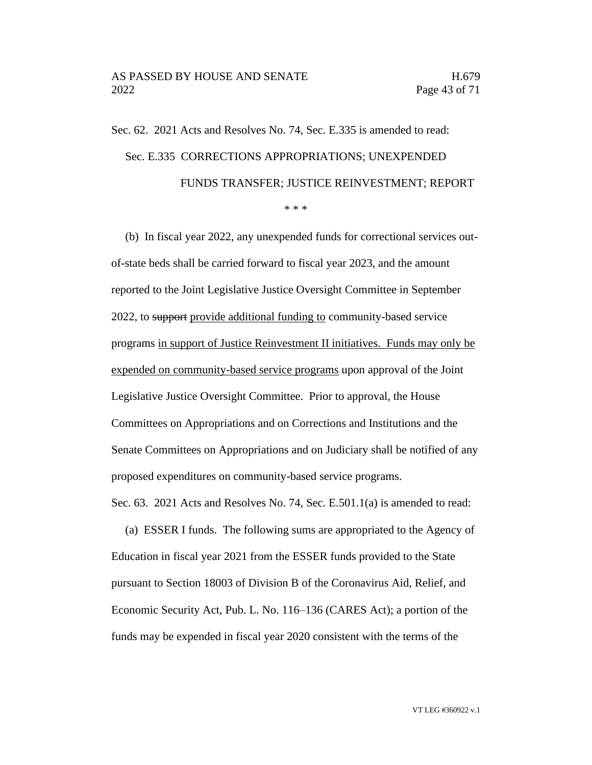# Sec. 62. 2021 Acts and Resolves No. 74, Sec. E.335 is amended to read: Sec. E.335 CORRECTIONS APPROPRIATIONS; UNEXPENDED FUNDS TRANSFER; JUSTICE REINVESTMENT; REPORT

\* \* \*

(b) In fiscal year 2022, any unexpended funds for correctional services outof-state beds shall be carried forward to fiscal year 2023, and the amount reported to the Joint Legislative Justice Oversight Committee in September 2022, to support provide additional funding to community-based service programs in support of Justice Reinvestment II initiatives. Funds may only be expended on community-based service programs upon approval of the Joint Legislative Justice Oversight Committee. Prior to approval, the House Committees on Appropriations and on Corrections and Institutions and the Senate Committees on Appropriations and on Judiciary shall be notified of any proposed expenditures on community-based service programs. Sec. 63. 2021 Acts and Resolves No. 74, Sec. E.501.1(a) is amended to read:

(a) ESSER I funds. The following sums are appropriated to the Agency of Education in fiscal year 2021 from the ESSER funds provided to the State pursuant to Section 18003 of Division B of the Coronavirus Aid, Relief, and Economic Security Act, Pub. L. No. 116–136 (CARES Act); a portion of the funds may be expended in fiscal year 2020 consistent with the terms of the

VT LEG #360922 v.1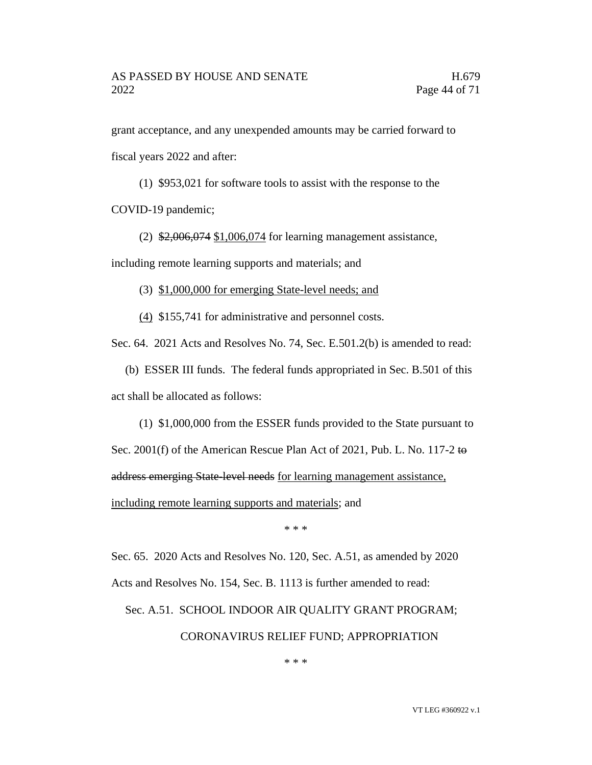grant acceptance, and any unexpended amounts may be carried forward to fiscal years 2022 and after:

(1) \$953,021 for software tools to assist with the response to the COVID-19 pandemic;

(2) \$2,006,074 \$1,006,074 for learning management assistance,

including remote learning supports and materials; and

(3) \$1,000,000 for emerging State-level needs; and

(4) \$155,741 for administrative and personnel costs.

Sec. 64. 2021 Acts and Resolves No. 74, Sec. E.501.2(b) is amended to read:

(b) ESSER III funds. The federal funds appropriated in Sec. B.501 of this act shall be allocated as follows:

(1) \$1,000,000 from the ESSER funds provided to the State pursuant to Sec. 2001(f) of the American Rescue Plan Act of 2021, Pub. L. No. 117-2 to address emerging State-level needs for learning management assistance, including remote learning supports and materials; and

\* \* \*

Sec. 65. 2020 Acts and Resolves No. 120, Sec. A.51, as amended by 2020

Acts and Resolves No. 154, Sec. B. 1113 is further amended to read:

Sec. A.51. SCHOOL INDOOR AIR QUALITY GRANT PROGRAM; CORONAVIRUS RELIEF FUND; APPROPRIATION

\* \* \*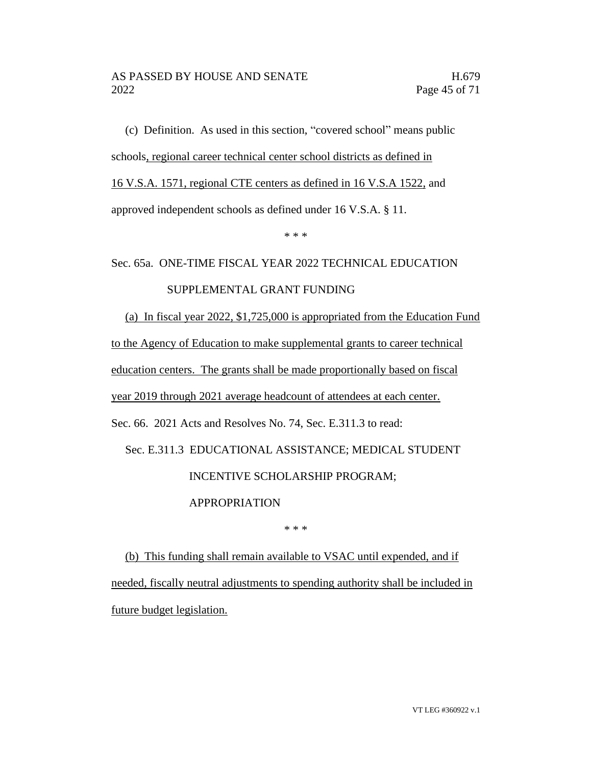(c) Definition. As used in this section, "covered school" means public schools, regional career technical center school districts as defined in 16 V.S.A. 1571, regional CTE centers as defined in 16 V.S.A 1522, and approved independent schools as defined under 16 V.S.A. § 11.

\* \* \*

#### Sec. 65a. ONE-TIME FISCAL YEAR 2022 TECHNICAL EDUCATION

#### SUPPLEMENTAL GRANT FUNDING

(a) In fiscal year 2022, \$1,725,000 is appropriated from the Education Fund to the Agency of Education to make supplemental grants to career technical education centers. The grants shall be made proportionally based on fiscal year 2019 through 2021 average headcount of attendees at each center. Sec. 66. 2021 Acts and Resolves No. 74, Sec. E.311.3 to read: Sec. E.311.3 EDUCATIONAL ASSISTANCE; MEDICAL STUDENT

#### INCENTIVE SCHOLARSHIP PROGRAM;

#### APPROPRIATION

\* \* \*

(b) This funding shall remain available to VSAC until expended, and if needed, fiscally neutral adjustments to spending authority shall be included in future budget legislation.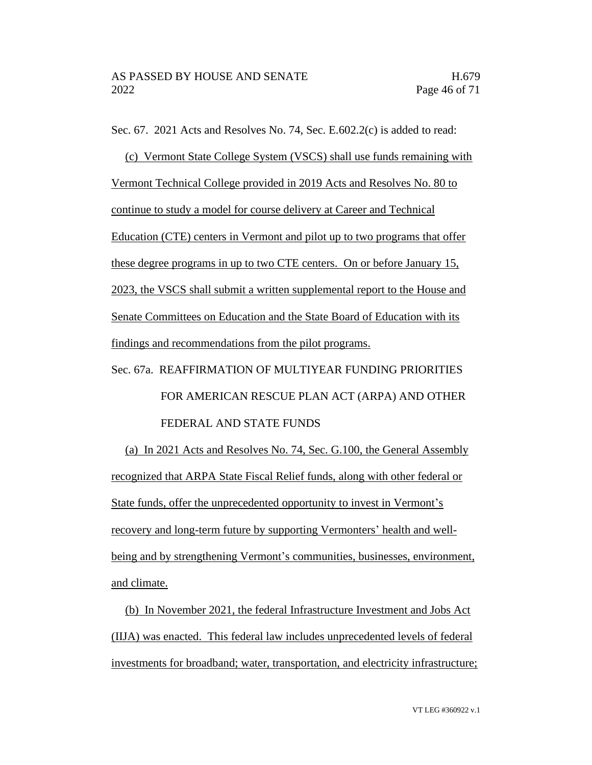Sec. 67. 2021 Acts and Resolves No. 74, Sec. E.602.2(c) is added to read:

(c) Vermont State College System (VSCS) shall use funds remaining with Vermont Technical College provided in 2019 Acts and Resolves No. 80 to continue to study a model for course delivery at Career and Technical Education (CTE) centers in Vermont and pilot up to two programs that offer these degree programs in up to two CTE centers. On or before January 15, 2023, the VSCS shall submit a written supplemental report to the House and Senate Committees on Education and the State Board of Education with its findings and recommendations from the pilot programs.

### Sec. 67a. REAFFIRMATION OF MULTIYEAR FUNDING PRIORITIES FOR AMERICAN RESCUE PLAN ACT (ARPA) AND OTHER FEDERAL AND STATE FUNDS

(a) In 2021 Acts and Resolves No. 74, Sec. G.100, the General Assembly recognized that ARPA State Fiscal Relief funds, along with other federal or State funds, offer the unprecedented opportunity to invest in Vermont's recovery and long-term future by supporting Vermonters' health and wellbeing and by strengthening Vermont's communities, businesses, environment, and climate.

(b) In November 2021, the federal Infrastructure Investment and Jobs Act (IIJA) was enacted. This federal law includes unprecedented levels of federal investments for broadband; water, transportation, and electricity infrastructure;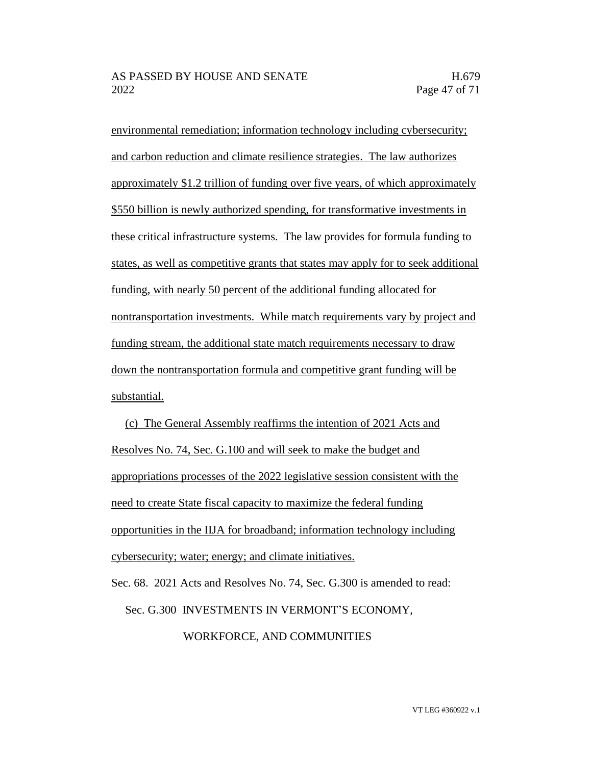environmental remediation; information technology including cybersecurity; and carbon reduction and climate resilience strategies. The law authorizes approximately \$1.2 trillion of funding over five years, of which approximately \$550 billion is newly authorized spending, for transformative investments in these critical infrastructure systems. The law provides for formula funding to states, as well as competitive grants that states may apply for to seek additional funding, with nearly 50 percent of the additional funding allocated for nontransportation investments. While match requirements vary by project and funding stream, the additional state match requirements necessary to draw down the nontransportation formula and competitive grant funding will be substantial.

(c) The General Assembly reaffirms the intention of 2021 Acts and Resolves No. 74, Sec. G.100 and will seek to make the budget and appropriations processes of the 2022 legislative session consistent with the need to create State fiscal capacity to maximize the federal funding opportunities in the IIJA for broadband; information technology including cybersecurity; water; energy; and climate initiatives.

Sec. 68. 2021 Acts and Resolves No. 74, Sec. G.300 is amended to read: Sec. G.300 INVESTMENTS IN VERMONT'S ECONOMY, WORKFORCE, AND COMMUNITIES

VT LEG #360922 v.1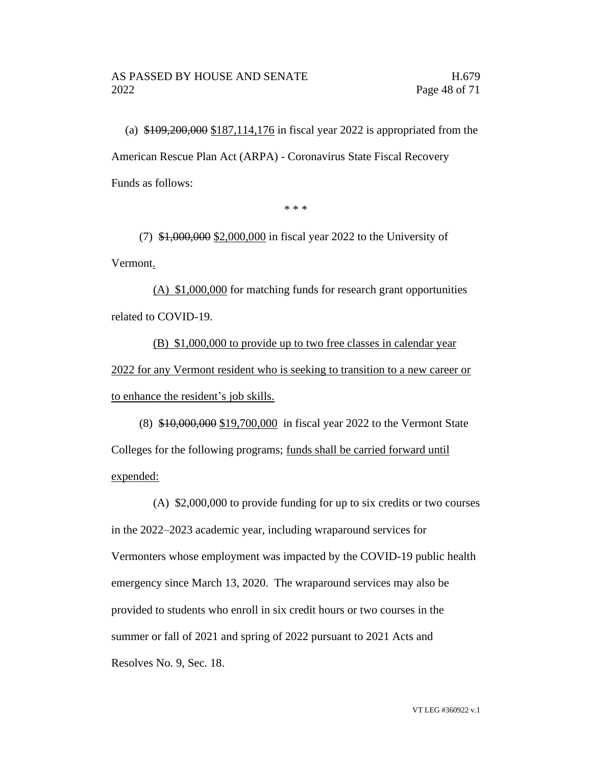(a) \$109,200,000 \$187,114,176 in fiscal year 2022 is appropriated from the American Rescue Plan Act (ARPA) - Coronavirus State Fiscal Recovery Funds as follows:

\* \* \*

(7) \$1,000,000 \$2,000,000 in fiscal year 2022 to the University of Vermont.

(A) \$1,000,000 for matching funds for research grant opportunities related to COVID-19.

(B) \$1,000,000 to provide up to two free classes in calendar year 2022 for any Vermont resident who is seeking to transition to a new career or to enhance the resident's job skills.

(8) \$10,000,000 \$19,700,000 in fiscal year 2022 to the Vermont State Colleges for the following programs; funds shall be carried forward until expended:

(A) \$2,000,000 to provide funding for up to six credits or two courses in the 2022–2023 academic year, including wraparound services for Vermonters whose employment was impacted by the COVID-19 public health emergency since March 13, 2020. The wraparound services may also be provided to students who enroll in six credit hours or two courses in the summer or fall of 2021 and spring of 2022 pursuant to 2021 Acts and Resolves No. 9, Sec. 18.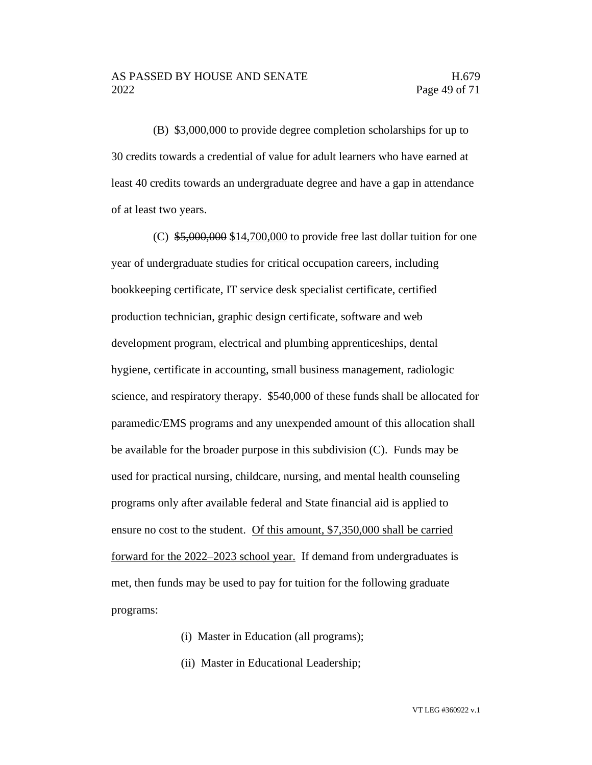(B) \$3,000,000 to provide degree completion scholarships for up to 30 credits towards a credential of value for adult learners who have earned at least 40 credits towards an undergraduate degree and have a gap in attendance of at least two years.

(C)  $$5,000,000$  \$14,700,000 to provide free last dollar tuition for one year of undergraduate studies for critical occupation careers, including bookkeeping certificate, IT service desk specialist certificate, certified production technician, graphic design certificate, software and web development program, electrical and plumbing apprenticeships, dental hygiene, certificate in accounting, small business management, radiologic science, and respiratory therapy. \$540,000 of these funds shall be allocated for paramedic/EMS programs and any unexpended amount of this allocation shall be available for the broader purpose in this subdivision (C). Funds may be used for practical nursing, childcare, nursing, and mental health counseling programs only after available federal and State financial aid is applied to ensure no cost to the student. Of this amount, \$7,350,000 shall be carried forward for the 2022–2023 school year. If demand from undergraduates is met, then funds may be used to pay for tuition for the following graduate programs:

- (i) Master in Education (all programs);
- (ii) Master in Educational Leadership;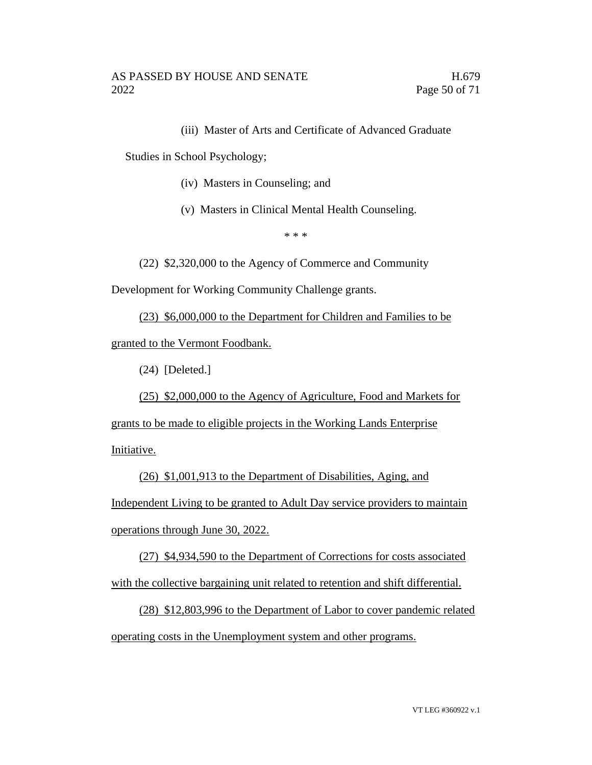(iii) Master of Arts and Certificate of Advanced Graduate

Studies in School Psychology;

- (iv) Masters in Counseling; and
- (v) Masters in Clinical Mental Health Counseling.

\* \* \*

(22) \$2,320,000 to the Agency of Commerce and Community

Development for Working Community Challenge grants.

(23) \$6,000,000 to the Department for Children and Families to be granted to the Vermont Foodbank.

(24) [Deleted.]

(25) \$2,000,000 to the Agency of Agriculture, Food and Markets for

grants to be made to eligible projects in the Working Lands Enterprise

Initiative.

(26) \$1,001,913 to the Department of Disabilities, Aging, and Independent Living to be granted to Adult Day service providers to maintain operations through June 30, 2022.

(27) \$4,934,590 to the Department of Corrections for costs associated with the collective bargaining unit related to retention and shift differential.

(28) \$12,803,996 to the Department of Labor to cover pandemic related operating costs in the Unemployment system and other programs.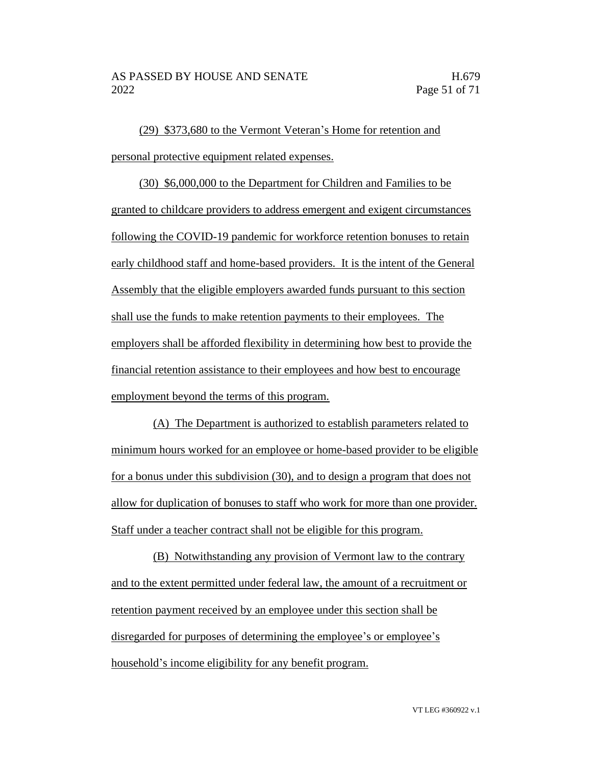(29) \$373,680 to the Vermont Veteran's Home for retention and personal protective equipment related expenses.

(30) \$6,000,000 to the Department for Children and Families to be granted to childcare providers to address emergent and exigent circumstances following the COVID-19 pandemic for workforce retention bonuses to retain early childhood staff and home-based providers. It is the intent of the General Assembly that the eligible employers awarded funds pursuant to this section shall use the funds to make retention payments to their employees. The employers shall be afforded flexibility in determining how best to provide the financial retention assistance to their employees and how best to encourage employment beyond the terms of this program.

(A) The Department is authorized to establish parameters related to minimum hours worked for an employee or home-based provider to be eligible for a bonus under this subdivision (30), and to design a program that does not allow for duplication of bonuses to staff who work for more than one provider. Staff under a teacher contract shall not be eligible for this program.

(B) Notwithstanding any provision of Vermont law to the contrary and to the extent permitted under federal law, the amount of a recruitment or retention payment received by an employee under this section shall be disregarded for purposes of determining the employee's or employee's household's income eligibility for any benefit program.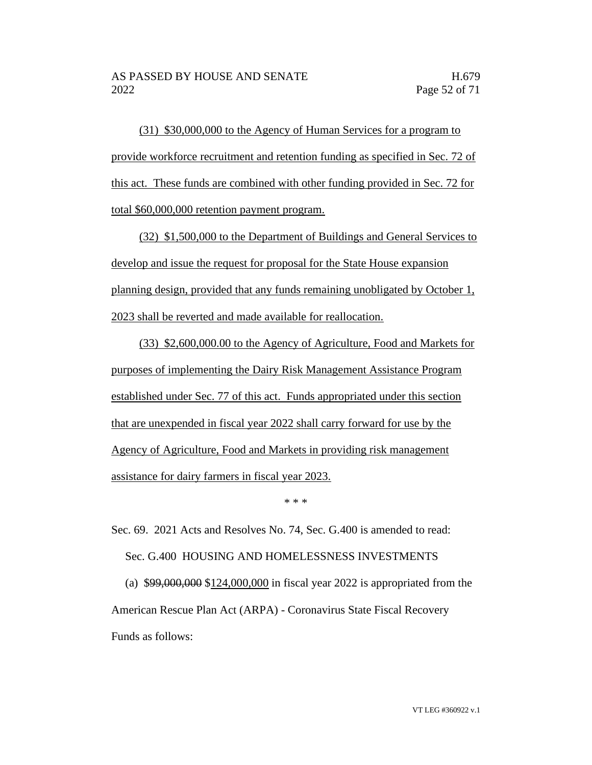(31) \$30,000,000 to the Agency of Human Services for a program to provide workforce recruitment and retention funding as specified in Sec. 72 of this act. These funds are combined with other funding provided in Sec. 72 for total \$60,000,000 retention payment program.

(32) \$1,500,000 to the Department of Buildings and General Services to develop and issue the request for proposal for the State House expansion planning design, provided that any funds remaining unobligated by October 1, 2023 shall be reverted and made available for reallocation.

(33) \$2,600,000.00 to the Agency of Agriculture, Food and Markets for purposes of implementing the Dairy Risk Management Assistance Program established under Sec. 77 of this act. Funds appropriated under this section that are unexpended in fiscal year 2022 shall carry forward for use by the Agency of Agriculture, Food and Markets in providing risk management assistance for dairy farmers in fiscal year 2023.

\* \* \*

Sec. 69. 2021 Acts and Resolves No. 74, Sec. G.400 is amended to read: Sec. G.400 HOUSING AND HOMELESSNESS INVESTMENTS (a) \$99,000,000 \$124,000,000 in fiscal year 2022 is appropriated from the

American Rescue Plan Act (ARPA) - Coronavirus State Fiscal Recovery Funds as follows: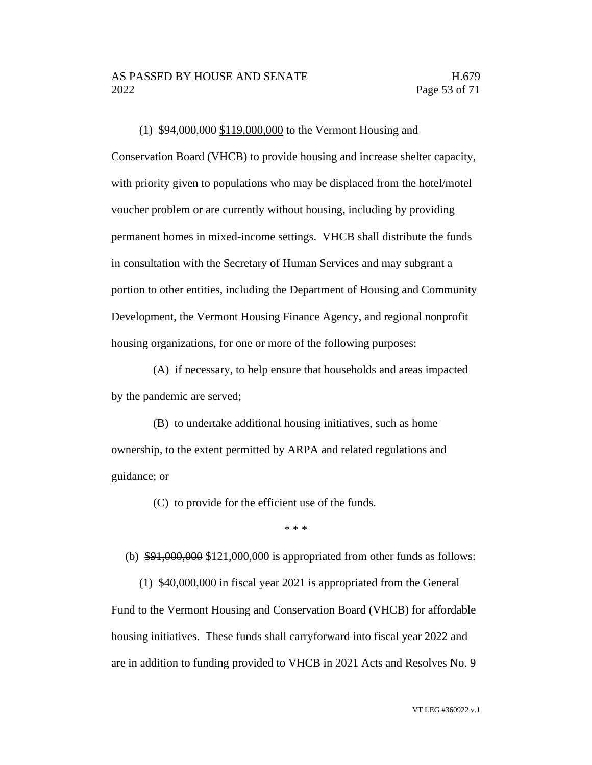(1) \$94,000,000 \$119,000,000 to the Vermont Housing and Conservation Board (VHCB) to provide housing and increase shelter capacity, with priority given to populations who may be displaced from the hotel/motel voucher problem or are currently without housing, including by providing permanent homes in mixed-income settings. VHCB shall distribute the funds in consultation with the Secretary of Human Services and may subgrant a portion to other entities, including the Department of Housing and Community Development, the Vermont Housing Finance Agency, and regional nonprofit housing organizations, for one or more of the following purposes:

(A) if necessary, to help ensure that households and areas impacted by the pandemic are served;

(B) to undertake additional housing initiatives, such as home ownership, to the extent permitted by ARPA and related regulations and guidance; or

(C) to provide for the efficient use of the funds.

\* \* \*

(b)  $$91,000,000$  \$121,000,000 is appropriated from other funds as follows:

(1) \$40,000,000 in fiscal year 2021 is appropriated from the General Fund to the Vermont Housing and Conservation Board (VHCB) for affordable housing initiatives. These funds shall carryforward into fiscal year 2022 and are in addition to funding provided to VHCB in 2021 Acts and Resolves No. 9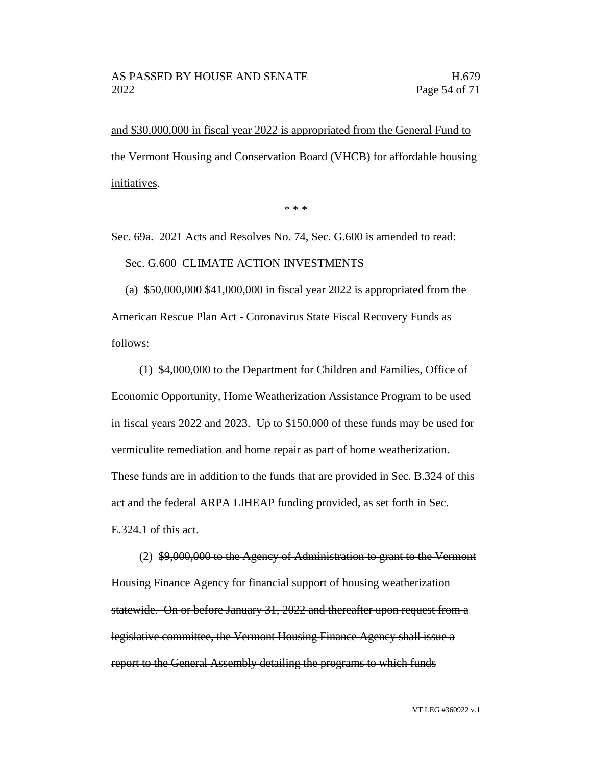and \$30,000,000 in fiscal year 2022 is appropriated from the General Fund to the Vermont Housing and Conservation Board (VHCB) for affordable housing initiatives.

\* \* \*

Sec. 69a. 2021 Acts and Resolves No. 74, Sec. G.600 is amended to read:

Sec. G.600 CLIMATE ACTION INVESTMENTS

(a) \$50,000,000 \$41,000,000 in fiscal year 2022 is appropriated from the American Rescue Plan Act - Coronavirus State Fiscal Recovery Funds as follows:

(1) \$4,000,000 to the Department for Children and Families, Office of Economic Opportunity, Home Weatherization Assistance Program to be used in fiscal years 2022 and 2023. Up to \$150,000 of these funds may be used for vermiculite remediation and home repair as part of home weatherization. These funds are in addition to the funds that are provided in Sec. B.324 of this act and the federal ARPA LIHEAP funding provided, as set forth in Sec. E.324.1 of this act.

(2) \$9,000,000 to the Agency of Administration to grant to the Vermont Housing Finance Agency for financial support of housing weatherization statewide. On or before January 31, 2022 and thereafter upon request from a legislative committee, the Vermont Housing Finance Agency shall issue a report to the General Assembly detailing the programs to which funds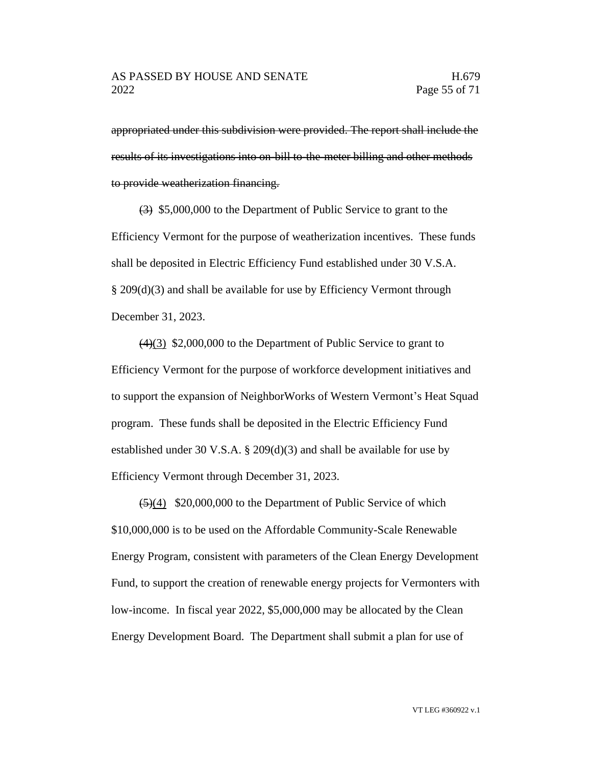appropriated under this subdivision were provided. The report shall include the results of its investigations into on-bill to-the-meter billing and other methods to provide weatherization financing.

(3) \$5,000,000 to the Department of Public Service to grant to the Efficiency Vermont for the purpose of weatherization incentives. These funds shall be deposited in Electric Efficiency Fund established under 30 V.S.A. § 209(d)(3) and shall be available for use by Efficiency Vermont through December 31, 2023.

 $(4)(3)$  \$2,000,000 to the Department of Public Service to grant to Efficiency Vermont for the purpose of workforce development initiatives and to support the expansion of NeighborWorks of Western Vermont's Heat Squad program. These funds shall be deposited in the Electric Efficiency Fund established under 30 V.S.A. § 209(d)(3) and shall be available for use by Efficiency Vermont through December 31, 2023.

 $\left(\frac{5}{4}\right)$  \$20,000,000 to the Department of Public Service of which \$10,000,000 is to be used on the Affordable Community-Scale Renewable Energy Program, consistent with parameters of the Clean Energy Development Fund, to support the creation of renewable energy projects for Vermonters with low-income. In fiscal year 2022, \$5,000,000 may be allocated by the Clean Energy Development Board. The Department shall submit a plan for use of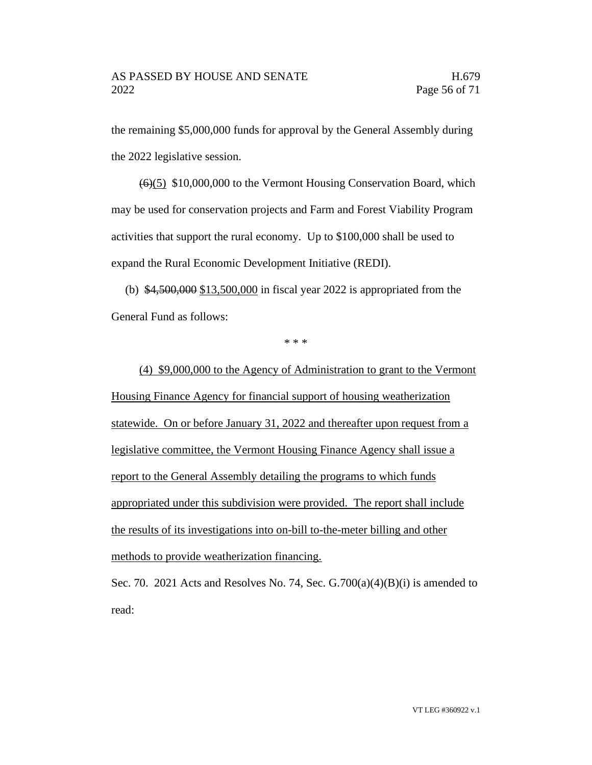the remaining \$5,000,000 funds for approval by the General Assembly during the 2022 legislative session.

(6)(5) \$10,000,000 to the Vermont Housing Conservation Board, which may be used for conservation projects and Farm and Forest Viability Program activities that support the rural economy. Up to \$100,000 shall be used to expand the Rural Economic Development Initiative (REDI).

(b) \$4,500,000 \$13,500,000 in fiscal year 2022 is appropriated from the General Fund as follows:

\* \* \*

(4) \$9,000,000 to the Agency of Administration to grant to the Vermont Housing Finance Agency for financial support of housing weatherization statewide. On or before January 31, 2022 and thereafter upon request from a legislative committee, the Vermont Housing Finance Agency shall issue a report to the General Assembly detailing the programs to which funds appropriated under this subdivision were provided. The report shall include the results of its investigations into on-bill to-the-meter billing and other methods to provide weatherization financing.

Sec. 70. 2021 Acts and Resolves No. 74, Sec.  $G.700(a)(4)(B)(i)$  is amended to read: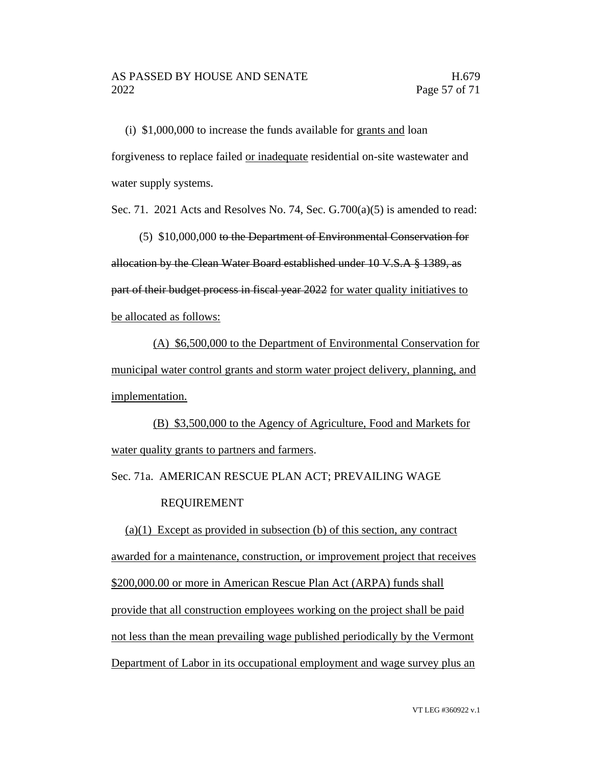(i) \$1,000,000 to increase the funds available for grants and loan forgiveness to replace failed or inadequate residential on-site wastewater and water supply systems.

Sec. 71. 2021 Acts and Resolves No. 74, Sec. G.700(a)(5) is amended to read:

(5) \$10,000,000 to the Department of Environmental Conservation for allocation by the Clean Water Board established under 10 V.S.A § 1389, as part of their budget process in fiscal year 2022 for water quality initiatives to be allocated as follows:

(A) \$6,500,000 to the Department of Environmental Conservation for municipal water control grants and storm water project delivery, planning, and implementation.

(B) \$3,500,000 to the Agency of Agriculture, Food and Markets for water quality grants to partners and farmers.

Sec. 71a. AMERICAN RESCUE PLAN ACT; PREVAILING WAGE

#### REQUIREMENT

(a)(1) Except as provided in subsection (b) of this section, any contract awarded for a maintenance, construction, or improvement project that receives \$200,000.00 or more in American Rescue Plan Act (ARPA) funds shall provide that all construction employees working on the project shall be paid not less than the mean prevailing wage published periodically by the Vermont Department of Labor in its occupational employment and wage survey plus an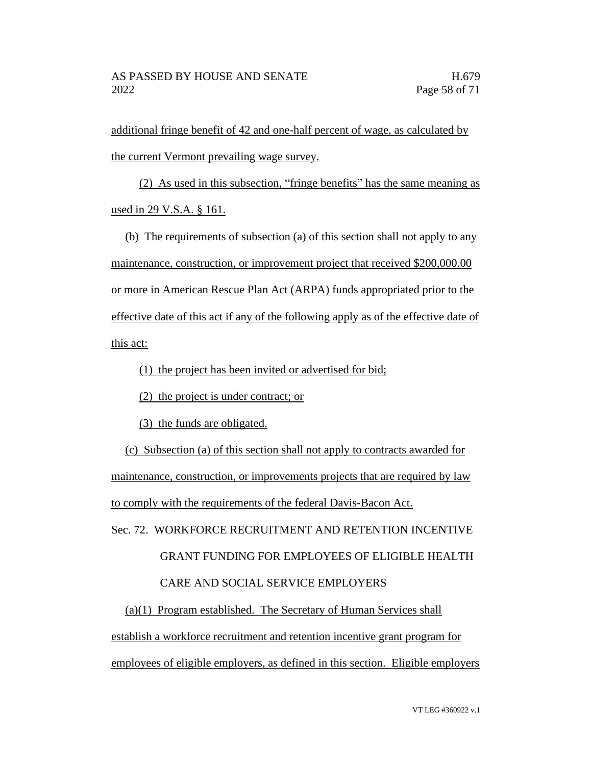additional fringe benefit of 42 and one-half percent of wage, as calculated by the current Vermont prevailing wage survey.

(2) As used in this subsection, "fringe benefits" has the same meaning as used in 29 V.S.A. § 161.

(b) The requirements of subsection (a) of this section shall not apply to any maintenance, construction, or improvement project that received \$200,000.00 or more in American Rescue Plan Act (ARPA) funds appropriated prior to the effective date of this act if any of the following apply as of the effective date of this act:

(1) the project has been invited or advertised for bid;

(2) the project is under contract; or

(3) the funds are obligated.

(c) Subsection (a) of this section shall not apply to contracts awarded for maintenance, construction, or improvements projects that are required by law to comply with the requirements of the federal Davis-Bacon Act.

Sec. 72. WORKFORCE RECRUITMENT AND RETENTION INCENTIVE GRANT FUNDING FOR EMPLOYEES OF ELIGIBLE HEALTH CARE AND SOCIAL SERVICE EMPLOYERS

(a)(1) Program established. The Secretary of Human Services shall establish a workforce recruitment and retention incentive grant program for employees of eligible employers, as defined in this section. Eligible employers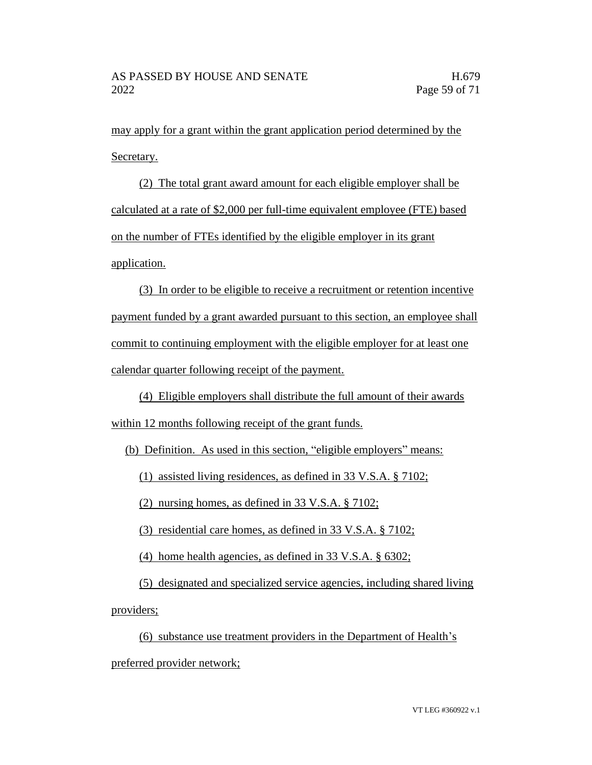may apply for a grant within the grant application period determined by the Secretary.

(2) The total grant award amount for each eligible employer shall be calculated at a rate of \$2,000 per full-time equivalent employee (FTE) based on the number of FTEs identified by the eligible employer in its grant application.

(3) In order to be eligible to receive a recruitment or retention incentive payment funded by a grant awarded pursuant to this section, an employee shall commit to continuing employment with the eligible employer for at least one calendar quarter following receipt of the payment.

(4) Eligible employers shall distribute the full amount of their awards within 12 months following receipt of the grant funds.

(b) Definition. As used in this section, "eligible employers" means:

(1) assisted living residences, as defined in 33 V.S.A. § 7102;

(2) nursing homes, as defined in 33 V.S.A. § 7102;

(3) residential care homes, as defined in 33 V.S.A. § 7102;

(4) home health agencies, as defined in 33 V.S.A. § 6302;

(5) designated and specialized service agencies, including shared living providers;

(6) substance use treatment providers in the Department of Health's preferred provider network;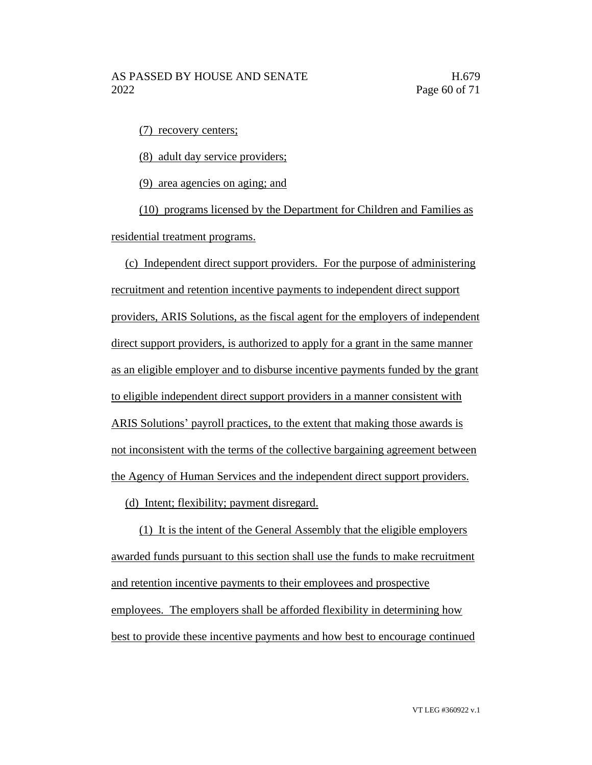(7) recovery centers;

(8) adult day service providers;

(9) area agencies on aging; and

(10) programs licensed by the Department for Children and Families as residential treatment programs.

(c) Independent direct support providers. For the purpose of administering recruitment and retention incentive payments to independent direct support providers, ARIS Solutions, as the fiscal agent for the employers of independent direct support providers, is authorized to apply for a grant in the same manner as an eligible employer and to disburse incentive payments funded by the grant to eligible independent direct support providers in a manner consistent with ARIS Solutions' payroll practices, to the extent that making those awards is not inconsistent with the terms of the collective bargaining agreement between the Agency of Human Services and the independent direct support providers.

(d) Intent; flexibility; payment disregard.

(1) It is the intent of the General Assembly that the eligible employers awarded funds pursuant to this section shall use the funds to make recruitment and retention incentive payments to their employees and prospective employees. The employers shall be afforded flexibility in determining how best to provide these incentive payments and how best to encourage continued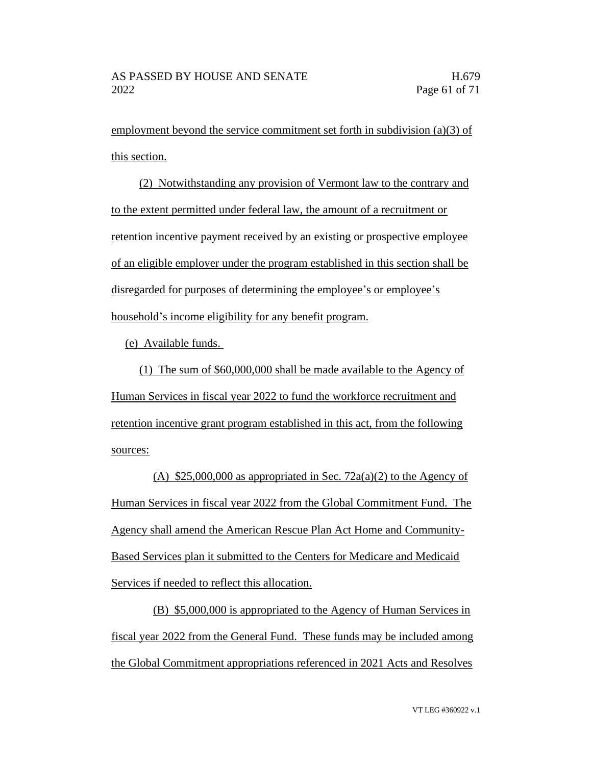employment beyond the service commitment set forth in subdivision (a)(3) of this section.

(2) Notwithstanding any provision of Vermont law to the contrary and to the extent permitted under federal law, the amount of a recruitment or retention incentive payment received by an existing or prospective employee of an eligible employer under the program established in this section shall be disregarded for purposes of determining the employee's or employee's household's income eligibility for any benefit program.

(e) Available funds.

(1) The sum of \$60,000,000 shall be made available to the Agency of Human Services in fiscal year 2022 to fund the workforce recruitment and retention incentive grant program established in this act, from the following sources:

(A)  $$25,000,000$  as appropriated in Sec. 72a(a)(2) to the Agency of Human Services in fiscal year 2022 from the Global Commitment Fund. The Agency shall amend the American Rescue Plan Act Home and Community-Based Services plan it submitted to the Centers for Medicare and Medicaid Services if needed to reflect this allocation.

(B) \$5,000,000 is appropriated to the Agency of Human Services in fiscal year 2022 from the General Fund. These funds may be included among the Global Commitment appropriations referenced in 2021 Acts and Resolves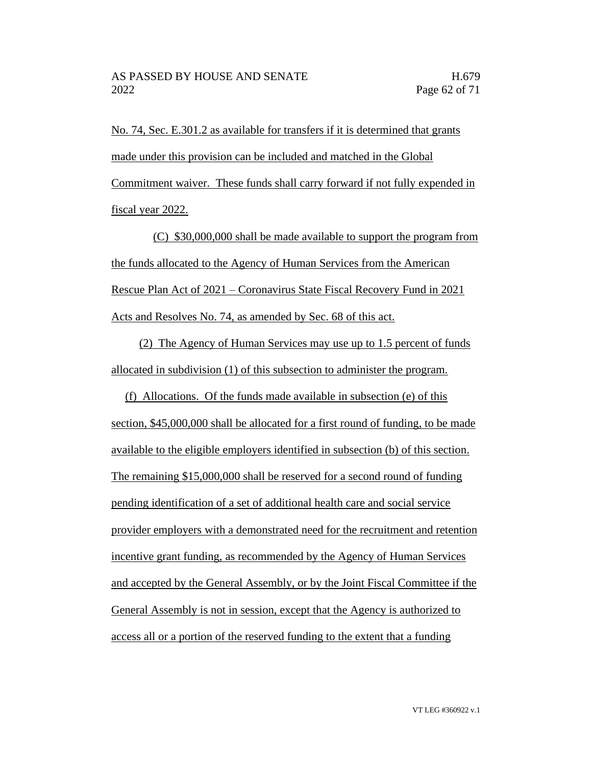No. 74, Sec. E.301.2 as available for transfers if it is determined that grants made under this provision can be included and matched in the Global Commitment waiver. These funds shall carry forward if not fully expended in fiscal year 2022.

(C) \$30,000,000 shall be made available to support the program from the funds allocated to the Agency of Human Services from the American Rescue Plan Act of 2021 – Coronavirus State Fiscal Recovery Fund in 2021 Acts and Resolves No. 74, as amended by Sec. 68 of this act.

(2) The Agency of Human Services may use up to 1.5 percent of funds allocated in subdivision (1) of this subsection to administer the program.

(f) Allocations. Of the funds made available in subsection (e) of this section, \$45,000,000 shall be allocated for a first round of funding, to be made available to the eligible employers identified in subsection (b) of this section. The remaining \$15,000,000 shall be reserved for a second round of funding pending identification of a set of additional health care and social service provider employers with a demonstrated need for the recruitment and retention incentive grant funding, as recommended by the Agency of Human Services and accepted by the General Assembly, or by the Joint Fiscal Committee if the General Assembly is not in session, except that the Agency is authorized to access all or a portion of the reserved funding to the extent that a funding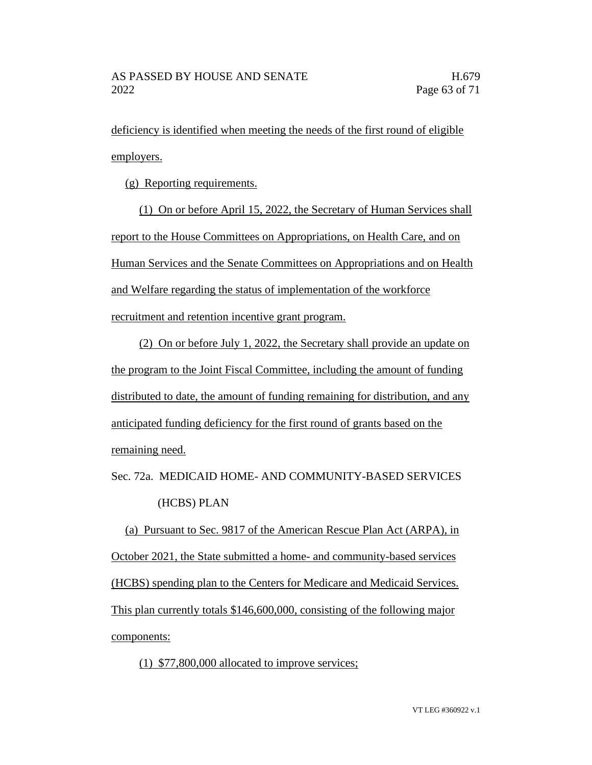deficiency is identified when meeting the needs of the first round of eligible employers.

(g) Reporting requirements.

(1) On or before April 15, 2022, the Secretary of Human Services shall report to the House Committees on Appropriations, on Health Care, and on Human Services and the Senate Committees on Appropriations and on Health and Welfare regarding the status of implementation of the workforce recruitment and retention incentive grant program.

(2) On or before July 1, 2022, the Secretary shall provide an update on the program to the Joint Fiscal Committee, including the amount of funding distributed to date, the amount of funding remaining for distribution, and any anticipated funding deficiency for the first round of grants based on the remaining need.

Sec. 72a. MEDICAID HOME- AND COMMUNITY-BASED SERVICES (HCBS) PLAN

(a) Pursuant to Sec. 9817 of the American Rescue Plan Act (ARPA), in October 2021, the State submitted a home- and community-based services (HCBS) spending plan to the Centers for Medicare and Medicaid Services. This plan currently totals \$146,600,000, consisting of the following major components:

(1) \$77,800,000 allocated to improve services;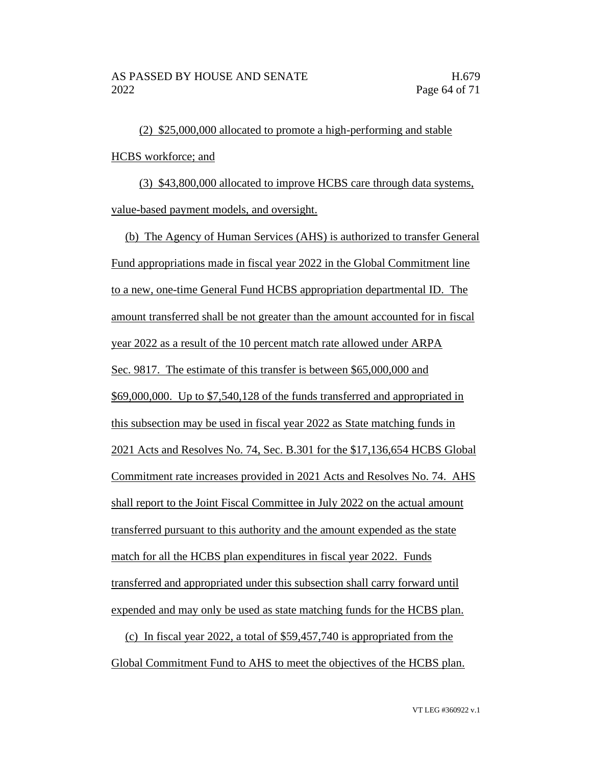(2) \$25,000,000 allocated to promote a high-performing and stable HCBS workforce; and

(3) \$43,800,000 allocated to improve HCBS care through data systems, value-based payment models, and oversight.

(b) The Agency of Human Services (AHS) is authorized to transfer General Fund appropriations made in fiscal year 2022 in the Global Commitment line to a new, one-time General Fund HCBS appropriation departmental ID. The amount transferred shall be not greater than the amount accounted for in fiscal year 2022 as a result of the 10 percent match rate allowed under ARPA Sec. 9817. The estimate of this transfer is between \$65,000,000 and \$69,000,000. Up to \$7,540,128 of the funds transferred and appropriated in this subsection may be used in fiscal year 2022 as State matching funds in 2021 Acts and Resolves No. 74, Sec. B.301 for the \$17,136,654 HCBS Global Commitment rate increases provided in 2021 Acts and Resolves No. 74. AHS shall report to the Joint Fiscal Committee in July 2022 on the actual amount transferred pursuant to this authority and the amount expended as the state match for all the HCBS plan expenditures in fiscal year 2022. Funds transferred and appropriated under this subsection shall carry forward until expended and may only be used as state matching funds for the HCBS plan.

(c) In fiscal year 2022, a total of \$59,457,740 is appropriated from the Global Commitment Fund to AHS to meet the objectives of the HCBS plan.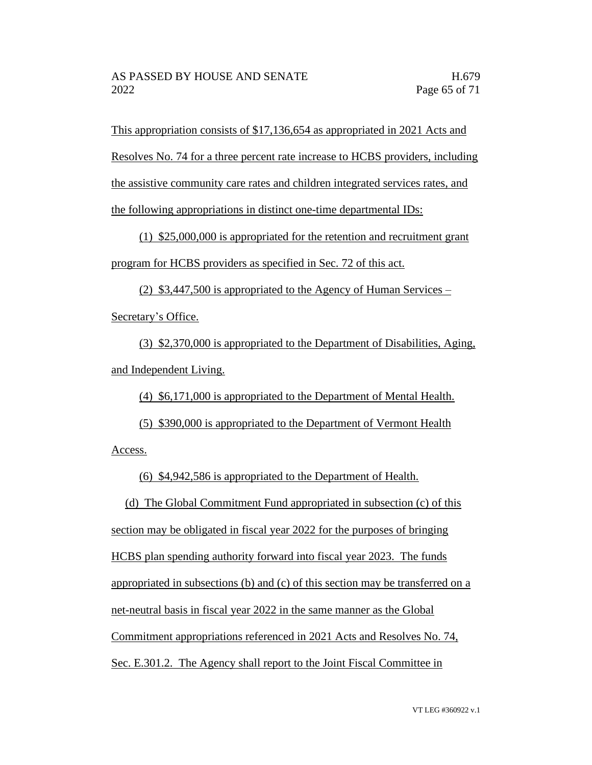This appropriation consists of \$17,136,654 as appropriated in 2021 Acts and

Resolves No. 74 for a three percent rate increase to HCBS providers, including

the assistive community care rates and children integrated services rates, and

the following appropriations in distinct one-time departmental IDs:

(1) \$25,000,000 is appropriated for the retention and recruitment grant program for HCBS providers as specified in Sec. 72 of this act.

(2) \$3,447,500 is appropriated to the Agency of Human Services – Secretary's Office.

(3) \$2,370,000 is appropriated to the Department of Disabilities, Aging, and Independent Living.

(4) \$6,171,000 is appropriated to the Department of Mental Health.

(5) \$390,000 is appropriated to the Department of Vermont Health Access.

(6) \$4,942,586 is appropriated to the Department of Health.

(d) The Global Commitment Fund appropriated in subsection (c) of this

section may be obligated in fiscal year 2022 for the purposes of bringing

HCBS plan spending authority forward into fiscal year 2023. The funds

appropriated in subsections (b) and (c) of this section may be transferred on a

net-neutral basis in fiscal year 2022 in the same manner as the Global

Commitment appropriations referenced in 2021 Acts and Resolves No. 74,

Sec. E.301.2. The Agency shall report to the Joint Fiscal Committee in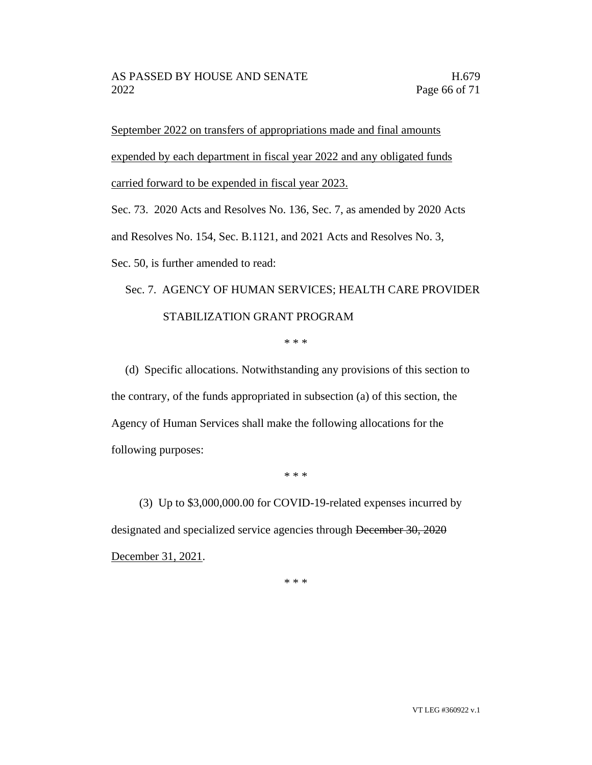September 2022 on transfers of appropriations made and final amounts expended by each department in fiscal year 2022 and any obligated funds carried forward to be expended in fiscal year 2023.

Sec. 73. 2020 Acts and Resolves No. 136, Sec. 7, as amended by 2020 Acts

and Resolves No. 154, Sec. B.1121, and 2021 Acts and Resolves No. 3,

Sec. 50, is further amended to read:

## Sec. 7. AGENCY OF HUMAN SERVICES; HEALTH CARE PROVIDER STABILIZATION GRANT PROGRAM

\* \* \*

(d) Specific allocations. Notwithstanding any provisions of this section to the contrary, of the funds appropriated in subsection (a) of this section, the Agency of Human Services shall make the following allocations for the following purposes:

\* \* \*

(3) Up to \$3,000,000.00 for COVID-19-related expenses incurred by designated and specialized service agencies through December 30, 2020 December 31, 2021.

\* \* \*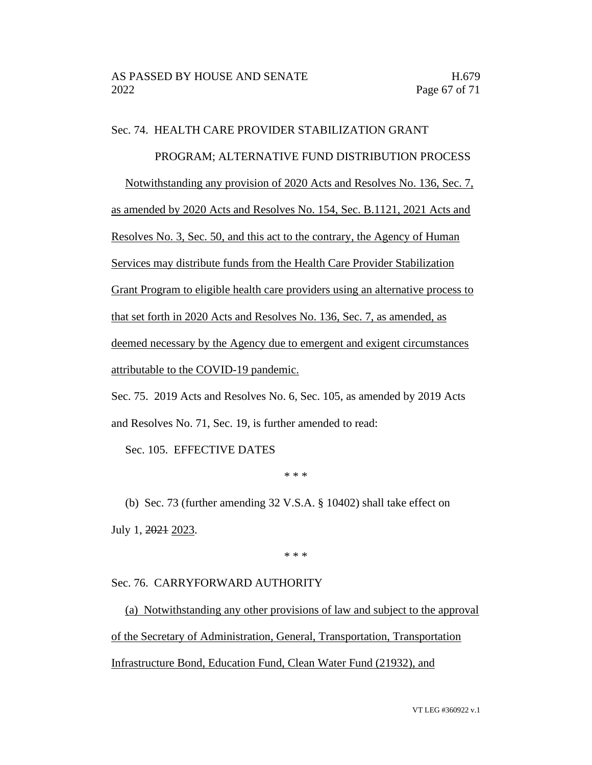#### Sec. 74. HEALTH CARE PROVIDER STABILIZATION GRANT

#### PROGRAM; ALTERNATIVE FUND DISTRIBUTION PROCESS

Notwithstanding any provision of 2020 Acts and Resolves No. 136, Sec. 7,

as amended by 2020 Acts and Resolves No. 154, Sec. B.1121, 2021 Acts and

Resolves No. 3, Sec. 50, and this act to the contrary, the Agency of Human

Services may distribute funds from the Health Care Provider Stabilization

Grant Program to eligible health care providers using an alternative process to

that set forth in 2020 Acts and Resolves No. 136, Sec. 7, as amended, as

deemed necessary by the Agency due to emergent and exigent circumstances

attributable to the COVID-19 pandemic.

Sec. 75. 2019 Acts and Resolves No. 6, Sec. 105, as amended by 2019 Acts and Resolves No. 71, Sec. 19, is further amended to read:

Sec. 105. EFFECTIVE DATES

\* \* \*

(b) Sec. 73 (further amending 32 V.S.A. § 10402) shall take effect on July 1, 2021 2023.

\* \* \*

#### Sec. 76. CARRYFORWARD AUTHORITY

(a) Notwithstanding any other provisions of law and subject to the approval of the Secretary of Administration, General, Transportation, Transportation Infrastructure Bond, Education Fund, Clean Water Fund (21932), and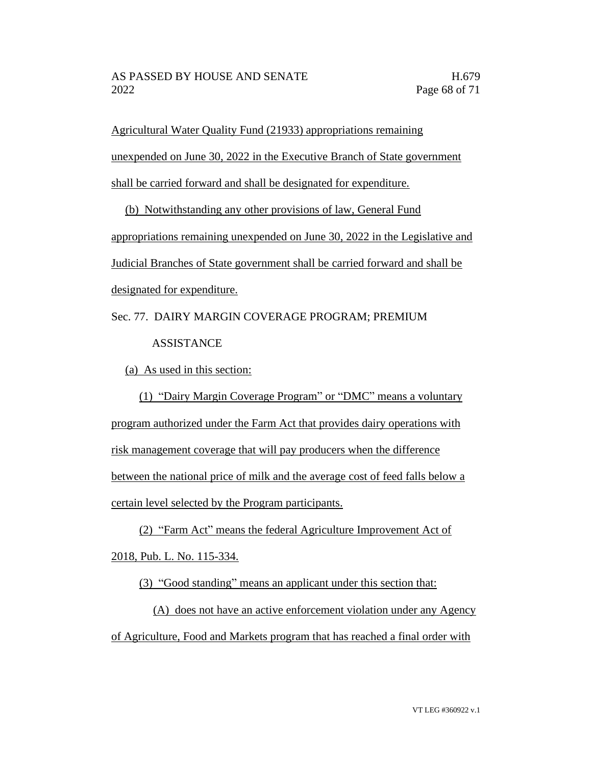Agricultural Water Quality Fund (21933) appropriations remaining unexpended on June 30, 2022 in the Executive Branch of State government shall be carried forward and shall be designated for expenditure.

(b) Notwithstanding any other provisions of law, General Fund appropriations remaining unexpended on June 30, 2022 in the Legislative and Judicial Branches of State government shall be carried forward and shall be designated for expenditure.

Sec. 77. DAIRY MARGIN COVERAGE PROGRAM; PREMIUM **ASSISTANCE** 

(a) As used in this section:

(1) "Dairy Margin Coverage Program" or "DMC" means a voluntary program authorized under the Farm Act that provides dairy operations with risk management coverage that will pay producers when the difference between the national price of milk and the average cost of feed falls below a certain level selected by the Program participants.

(2) "Farm Act" means the federal Agriculture Improvement Act of 2018, Pub. L. No. 115-334.

(3) "Good standing" means an applicant under this section that:

(A) does not have an active enforcement violation under any Agency of Agriculture, Food and Markets program that has reached a final order with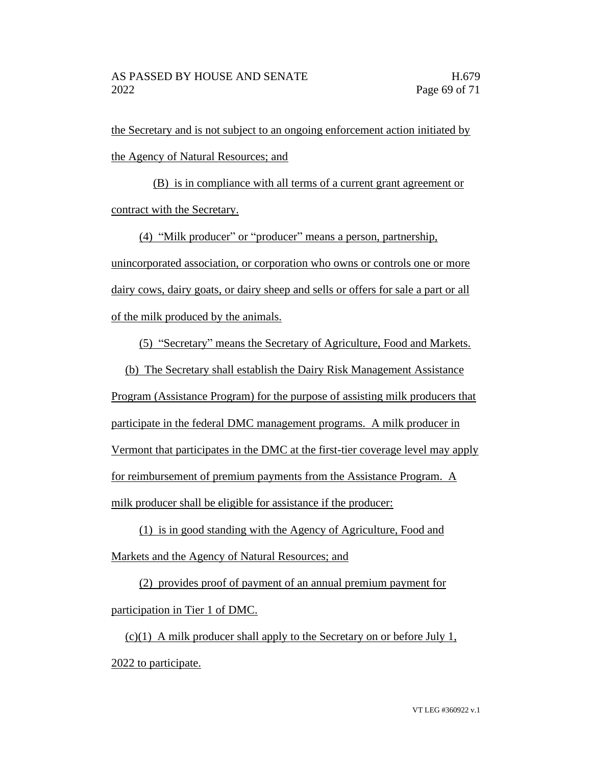the Secretary and is not subject to an ongoing enforcement action initiated by the Agency of Natural Resources; and

(B) is in compliance with all terms of a current grant agreement or contract with the Secretary.

(4) "Milk producer" or "producer" means a person, partnership, unincorporated association, or corporation who owns or controls one or more dairy cows, dairy goats, or dairy sheep and sells or offers for sale a part or all of the milk produced by the animals.

(5) "Secretary" means the Secretary of Agriculture, Food and Markets.

(b) The Secretary shall establish the Dairy Risk Management Assistance

Program (Assistance Program) for the purpose of assisting milk producers that participate in the federal DMC management programs. A milk producer in Vermont that participates in the DMC at the first-tier coverage level may apply for reimbursement of premium payments from the Assistance Program. A milk producer shall be eligible for assistance if the producer:

(1) is in good standing with the Agency of Agriculture, Food and Markets and the Agency of Natural Resources; and

(2) provides proof of payment of an annual premium payment for participation in Tier 1 of DMC.

 $(c)(1)$  A milk producer shall apply to the Secretary on or before July 1, 2022 to participate.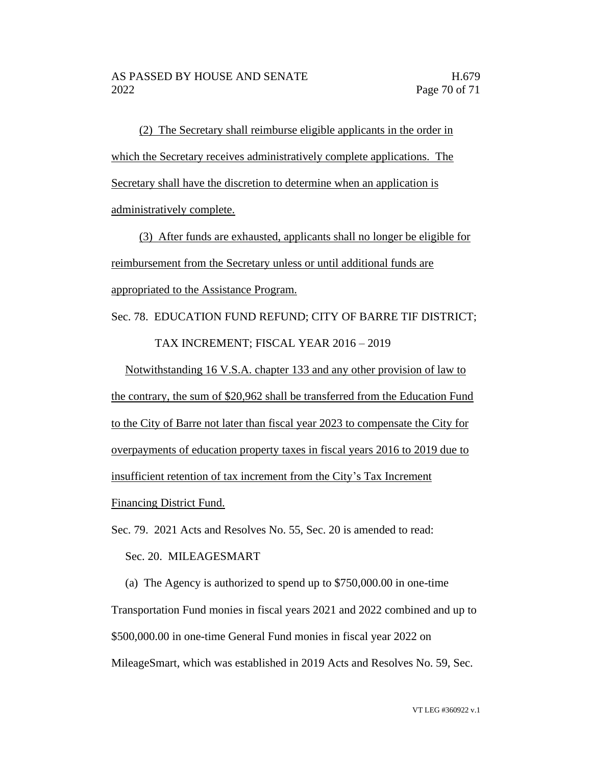(2) The Secretary shall reimburse eligible applicants in the order in which the Secretary receives administratively complete applications. The Secretary shall have the discretion to determine when an application is administratively complete.

(3) After funds are exhausted, applicants shall no longer be eligible for reimbursement from the Secretary unless or until additional funds are appropriated to the Assistance Program.

Sec. 78. EDUCATION FUND REFUND; CITY OF BARRE TIF DISTRICT; TAX INCREMENT; FISCAL YEAR 2016 – 2019

Notwithstanding 16 V.S.A. chapter 133 and any other provision of law to the contrary, the sum of \$20,962 shall be transferred from the Education Fund to the City of Barre not later than fiscal year 2023 to compensate the City for overpayments of education property taxes in fiscal years 2016 to 2019 due to insufficient retention of tax increment from the City's Tax Increment Financing District Fund.

Sec. 79. 2021 Acts and Resolves No. 55, Sec. 20 is amended to read:

Sec. 20. MILEAGESMART

(a) The Agency is authorized to spend up to \$750,000.00 in one-time Transportation Fund monies in fiscal years 2021 and 2022 combined and up to \$500,000.00 in one-time General Fund monies in fiscal year 2022 on MileageSmart, which was established in 2019 Acts and Resolves No. 59, Sec.